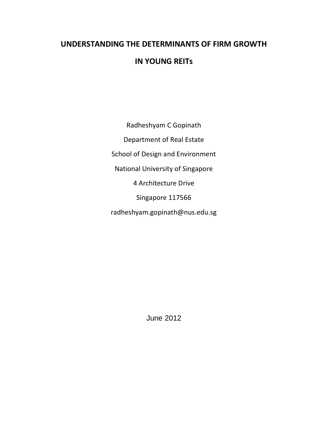# **UNDERSTANDING THE DETERMINANTS OF FIRM GROWTH**

# **IN YOUNG REITs**

Radheshyam C Gopinath Department of Real Estate School of Design and Environment National University of Singapore 4 Architecture Drive Singapore 117566 radheshyam.gopinath@nus.edu.sg

June 2012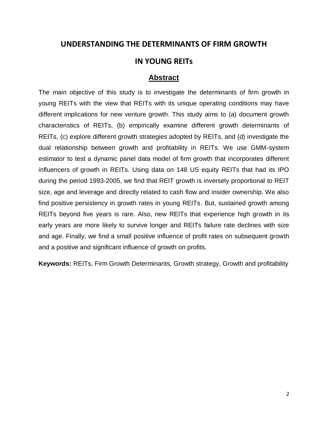# **UNDERSTANDING THE DETERMINANTS OF FIRM GROWTH**

# **IN YOUNG REITs**

## **Abstract**

The main objective of this study is to investigate the determinants of firm growth in young REITs with the view that REITs with its unique operating conditions may have different implications for new venture growth. This study aims to (a) document growth characteristics of REITs, (b) empirically examine different growth determinants of REITs, (c) explore different growth strategies adopted by REITs, and (d) investigate the dual relationship between growth and profitability in REITs. We use GMM-system estimator to test a dynamic panel data model of firm growth that incorporates different influencers of growth in REITs. Using data on 148 US equity REITs that had its IPO during the period 1993-2005, we find that REIT growth is inversely proportional to REIT size, age and leverage and directly related to cash flow and insider ownership. We also find positive persistency in growth rates in young REITs. But, sustained growth among REITs beyond five years is rare. Also, new REITs that experience high growth in its early years are more likely to survive longer and REITs failure rate declines with size and age. Finally, we find a small positive influence of profit rates on subsequent growth and a positive and significant influence of growth on profits.

**Keywords:** REITs, Firm Growth Determinants, Growth strategy, Growth and profitability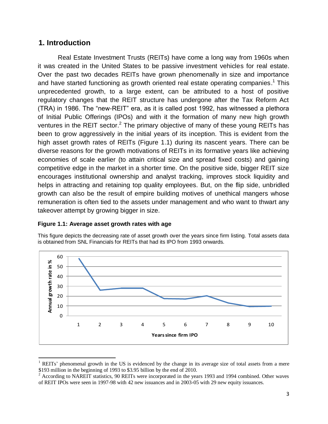# **1. Introduction**

 $\overline{\phantom{a}}$ 

Real Estate Investment Trusts (REITs) have come a long way from 1960s when it was created in the United States to be passive investment vehicles for real estate. Over the past two decades REITs have grown phenomenally in size and importance and have started functioning as growth oriented real estate operating companies.<sup>1</sup> This unprecedented growth, to a large extent, can be attributed to a host of positive regulatory changes that the REIT structure has undergone after the Tax Reform Act (TRA) in 1986. The "new-REIT" era, as it is called post 1992, has witnessed a plethora of Initial Public Offerings (IPOs) and with it the formation of many new high growth ventures in the REIT sector.<sup>2</sup> The primary objective of many of these young REITs has been to grow aggressively in the initial years of its inception. This is evident from the high asset growth rates of REITs (Figure 1.1) during its nascent years. There can be diverse reasons for the growth motivations of REITs in its formative years like achieving economies of scale earlier (to attain critical size and spread fixed costs) and gaining competitive edge in the market in a shorter time. On the positive side, bigger REIT size encourages institutional ownership and analyst tracking, improves stock liquidity and helps in attracting and retaining top quality employees. But, on the flip side, unbridled growth can also be the result of empire building motives of unethical mangers whose remuneration is often tied to the assets under management and who want to thwart any takeover attempt by growing bigger in size.

#### **Figure 1.1: Average asset growth rates with age**



This figure depicts the decreasing rate of asset growth over the years since firm listing. Total assets data is obtained from SNL Financials for REITs that had its IPO from 1993 onwards.

 $1$  REITs' phenomenal growth in the US is evidenced by the change in its average size of total assets from a mere \$193 million in the beginning of 1993 to \$3.95 billion by the end of 2010.

 $2^2$  According to NAREIT statistics, 90 REITs were incorporated in the years 1993 and 1994 combined. Other waves of REIT IPOs were seen in 1997-98 with 42 new issuances and in 2003-05 with 29 new equity issuances.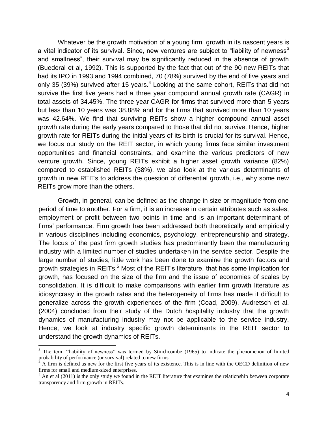Whatever be the growth motivation of a young firm, growth in its nascent years is a vital indicator of its survival. Since, new ventures are subiect to "liability of newness<sup>3</sup> and smallness", their survival may be significantly reduced in the absence of growth (Buederal et al, 1992). This is supported by the fact that out of the 90 new REITs that had its IPO in 1993 and 1994 combined, 70 (78%) survived by the end of five years and only 35 (39%) survived after 15 years.<sup>4</sup> Looking at the same cohort, REITs that did not survive the first five years had a three year compound annual growth rate (CAGR) in total assets of 34.45%. The three year CAGR for firms that survived more than 5 years but less than 10 years was 38.88% and for the firms that survived more than 10 years was 42.64%. We find that surviving REITs show a higher compound annual asset growth rate during the early years compared to those that did not survive. Hence, higher growth rate for REITs during the initial years of its birth is crucial for its survival. Hence, we focus our study on the REIT sector, in which young firms face similar investment opportunities and financial constraints, and examine the various predictors of new venture growth. Since, young REITs exhibit a higher asset growth variance (82%) compared to established REITs (38%), we also look at the various determinants of growth in new REITs to address the question of differential growth, i.e., why some new REITs grow more than the others.

Growth, in general, can be defined as the change in size or magnitude from one period of time to another. For a firm, it is an increase in certain attributes such as sales, employment or profit between two points in time and is an important determinant of firms" performance. Firm growth has been addressed both theoretically and empirically in various disciplines including economics, psychology, entrepreneurship and strategy. The focus of the past firm growth studies has predominantly been the manufacturing industry with a limited number of studies undertaken in the service sector. Despite the large number of studies, little work has been done to examine the growth factors and growth strategies in REITs.<sup>5</sup> Most of the REIT's literature, that has some implication for growth, has focused on the size of the firm and the issue of economies of scales by consolidation. It is difficult to make comparisons with earlier firm growth literature as idiosyncrasy in the growth rates and the heterogeneity of firms has made it difficult to generalize across the growth experiences of the firm (Coad, 2009). Audretsch et al. (2004) concluded from their study of the Dutch hospitality industry that the growth dynamics of manufacturing industry may not be applicable to the service industry. Hence, we look at industry specific growth determinants in the REIT sector to understand the growth dynamics of REITs.

 $\overline{\phantom{a}}$ 

 $3$  The term "liability of newness" was termed by Stinchcombe (1965) to indicate the phenomenon of limited probability of performance (or survival) related to new firms.

 $4 \text{ A firm is defined as new for the first five years of its existence. This is in line with the OECD definition of new$ firms for small and medium-sized enterprises.

 $<sup>5</sup>$  An et al (2011) is the only study we found in the REIT literature that examines the relationship between corporate</sup> transparency and firm growth in REITs.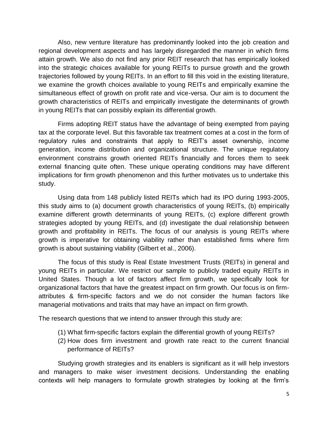Also, new venture literature has predominantly looked into the job creation and regional development aspects and has largely disregarded the manner in which firms attain growth. We also do not find any prior REIT research that has empirically looked into the strategic choices available for young REITs to pursue growth and the growth trajectories followed by young REITs. In an effort to fill this void in the existing literature, we examine the growth choices available to young REITs and empirically examine the simultaneous effect of growth on profit rate and vice-versa. Our aim is to document the growth characteristics of REITs and empirically investigate the determinants of growth in young REITs that can possibly explain its differential growth.

Firms adopting REIT status have the advantage of being exempted from paying tax at the corporate level. But this favorable tax treatment comes at a cost in the form of regulatory rules and constraints that apply to REIT"s asset ownership, income generation, income distribution and organizational structure. The unique regulatory environment constrains growth oriented REITs financially and forces them to seek external financing quite often. These unique operating conditions may have different implications for firm growth phenomenon and this further motivates us to undertake this study.

Using data from 148 publicly listed REITs which had its IPO during 1993-2005, this study aims to (a) document growth characteristics of young REITs, (b) empirically examine different growth determinants of young REITs, (c) explore different growth strategies adopted by young REITs, and (d) investigate the dual relationship between growth and profitability in REITs. The focus of our analysis is young REITs where growth is imperative for obtaining viability rather than established firms where firm growth is about sustaining viability (Gilbert et al., 2006).

The focus of this study is Real Estate Investment Trusts (REITs) in general and young REITs in particular. We restrict our sample to publicly traded equity REITs in United States. Though a lot of factors affect firm growth, we specifically look for organizational factors that have the greatest impact on firm growth. Our focus is on firmattributes & firm-specific factors and we do not consider the human factors like managerial motivations and traits that may have an impact on firm growth.

The research questions that we intend to answer through this study are:

- (1) What firm-specific factors explain the differential growth of young REITs?
- (2) How does firm investment and growth rate react to the current financial performance of REITs?

Studying growth strategies and its enablers is significant as it will help investors and managers to make wiser investment decisions. Understanding the enabling contexts will help managers to formulate growth strategies by looking at the firm"s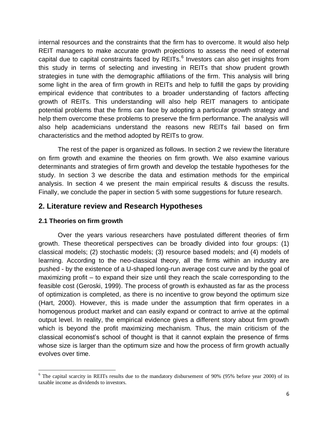internal resources and the constraints that the firm has to overcome. It would also help REIT managers to make accurate growth projections to assess the need of external capital due to capital constraints faced by REITs. $^6$  Investors can also get insights from this study in terms of selecting and investing in REITs that show prudent growth strategies in tune with the demographic affiliations of the firm. This analysis will bring some light in the area of firm growth in REITs and help to fulfill the gaps by providing empirical evidence that contributes to a broader understanding of factors affecting growth of REITs. This understanding will also help REIT managers to anticipate potential problems that the firms can face by adopting a particular growth strategy and help them overcome these problems to preserve the firm performance. The analysis will also help academicians understand the reasons new REITs fail based on firm characteristics and the method adopted by REITs to grow.

The rest of the paper is organized as follows. In section 2 we review the literature on firm growth and examine the theories on firm growth. We also examine various determinants and strategies of firm growth and develop the testable hypotheses for the study. In section 3 we describe the data and estimation methods for the empirical analysis. In section 4 we present the main empirical results & discuss the results. Finally, we conclude the paper in section 5 with some suggestions for future research.

# **2. Literature review and Research Hypotheses**

## **2.1 Theories on firm growth**

Over the years various researchers have postulated different theories of firm growth. These theoretical perspectives can be broadly divided into four groups: (1) classical models; (2) stochastic models; (3) resource based models; and (4) models of learning. According to the neo-classical theory, all the firms within an industry are pushed - by the existence of a U-shaped long-run average cost curve and by the goal of maximizing profit – to expand their size until they reach the scale corresponding to the feasible cost (Geroski, 1999). The process of growth is exhausted as far as the process of optimization is completed, as there is no incentive to grow beyond the optimum size (Hart, 2000). However, this is made under the assumption that firm operates in a homogenous product market and can easily expand or contract to arrive at the optimal output level. In reality, the empirical evidence gives a different story about firm growth which is beyond the profit maximizing mechanism. Thus, the main criticism of the classical economist"s school of thought is that it cannot explain the presence of firms whose size is larger than the optimum size and how the process of firm growth actually evolves over time.

 $\overline{a}$  $6$  The capital scarcity in REITs results due to the mandatory disbursement of 90% (95% before year 2000) of its taxable income as dividends to investors.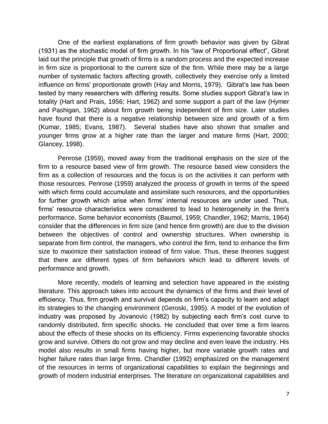One of the earliest explanations of firm growth behavior was given by Gibrat (1931) as the stochastic model of firm growth. In his "law of Proportional effect", Gibrat laid out the principle that growth of firms is a random process and the expected increase in firm size is proportional to the current size of the firm. While there may be a large number of systematic factors affecting growth, collectively they exercise only a limited influence on firms' proportionate growth (Hay and Morris, 1979). Gibrat's law has been tested by many researchers with differing results. Some studies support Gibrat"s law in totality (Hart and Prais, 1956; Hart, 1962) and some support a part of the law (Hymer and Pashigan, 1962) about firm growth being independent of firm size. Later studies have found that there is a negative relationship between size and growth of a firm (Kumar, 1985; Evans, 1987). Several studies have also shown that smaller and younger firms grow at a higher rate than the larger and mature firms (Hart, 2000; Glancey, 1998).

Penrose (1959), moved away from the traditional emphasis on the size of the firm to a resource based view of firm growth. The resource based view considers the firm as a collection of resources and the focus is on the activities it can perform with those resources. Penrose (1959) analyzed the process of growth in terms of the speed with which firms could accumulate and assimilate such resources, and the opportunities for further growth which arise when firms' internal resources are under used. Thus, firms' resource characteristics were considered to lead to heterogeneity in the firm's performance. Some behavior economists (Baumol, 1959; Chandler, 1962; Marris, 1964) consider that the differences in firm size (and hence firm growth) are due to the division between the objectives of control and ownership structures. When ownership is separate from firm control, the managers, who control the firm, tend to enhance the firm size to maximize their satisfaction instead of firm value. Thus, these theories suggest that there are different types of firm behaviors which lead to different levels of performance and growth.

More recently, models of learning and selection have appeared in the existing literature. This approach takes into account the dynamics of the firms and their level of efficiency. Thus, firm growth and survival depends on firm"s capacity to learn and adapt its strategies to the changing environment (Geroski, 1995). A model of the evolution of industry was proposed by Jovanovic (1982) by subjecting each firm"s cost curve to randomly distributed, firm specific shocks. He concluded that over time a firm learns about the effects of these shocks on its efficiency. Firms experiencing favorable shocks grow and survive. Others do not grow and may decline and even leave the industry. His model also results in small firms having higher, but more variable growth rates and higher failure rates than large firms. Chandler (1992) emphasized on the management of the resources in terms of organizational capabilities to explain the beginnings and growth of modern industrial enterprises. The literature on organizational capabilities and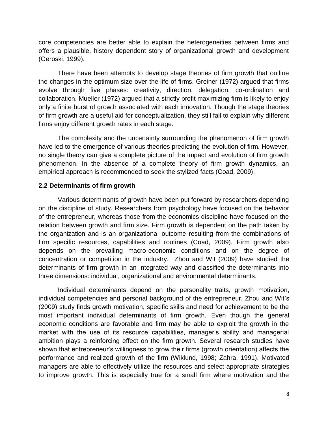core competencies are better able to explain the heterogeneities between firms and offers a plausible, history dependent story of organizational growth and development (Geroski, 1999).

There have been attempts to develop stage theories of firm growth that outline the changes in the optimum size over the life of firms. Greiner (1972) argued that firms evolve through five phases: creativity, direction, delegation, co-ordination and collaboration. Mueller (1972) argued that a strictly profit maximizing firm is likely to enjoy only a finite burst of growth associated with each innovation. Though the stage theories of firm growth are a useful aid for conceptualization, they still fail to explain why different firms enjoy different growth rates in each stage.

The complexity and the uncertainty surrounding the phenomenon of firm growth have led to the emergence of various theories predicting the evolution of firm. However, no single theory can give a complete picture of the impact and evolution of firm growth phenomenon. In the absence of a complete theory of firm growth dynamics, an empirical approach is recommended to seek the stylized facts (Coad, 2009).

# **2.2 Determinants of firm growth**

Various determinants of growth have been put forward by researchers depending on the discipline of study. Researchers from psychology have focused on the behavior of the entrepreneur, whereas those from the economics discipline have focused on the relation between growth and firm size. Firm growth is dependent on the path taken by the organization and is an organizational outcome resulting from the combinations of firm specific resources, capabilities and routines (Coad, 2009). Firm growth also depends on the prevailing macro-economic conditions and on the degree of concentration or competition in the industry. Zhou and Wit (2009) have studied the determinants of firm growth in an integrated way and classified the determinants into three dimensions: individual, organizational and environmental determinants.

Individual determinants depend on the personality traits, growth motivation, individual competencies and personal background of the entrepreneur. Zhou and Wit"s (2009) study finds growth motivation, specific skills and need for achievement to be the most important individual determinants of firm growth. Even though the general economic conditions are favorable and firm may be able to exploit the growth in the market with the use of its resource capabilities, manager's ability and managerial ambition plays a reinforcing effect on the firm growth. Several research studies have shown that entrepreneur"s willingness to grow their firms (growth orientation) affects the performance and realized growth of the firm (Wiklund, 1998; Zahra, 1991). Motivated managers are able to effectively utilize the resources and select appropriate strategies to improve growth. This is especially true for a small firm where motivation and the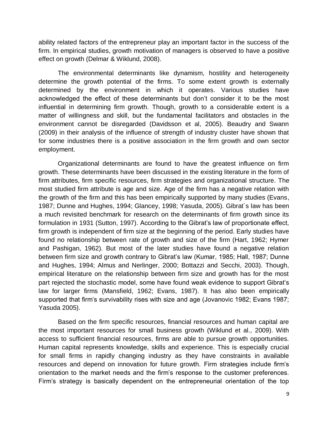ability related factors of the entrepreneur play an important factor in the success of the firm. In empirical studies, growth motivation of managers is observed to have a positive effect on growth (Delmar & Wiklund, 2008).

The environmental determinants like dynamism, hostility and heterogeneity determine the growth potential of the firms. To some extent growth is externally determined by the environment in which it operates. Various studies have acknowledged the effect of these determinants but don"t consider it to be the most influential in determining firm growth. Though, growth to a considerable extent is a matter of willingness and skill, but the fundamental facilitators and obstacles in the environment cannot be disregarded (Davidsson et al, 2005). Beaudry and Swann (2009) in their analysis of the influence of strength of industry cluster have shown that for some industries there is a positive association in the firm growth and own sector employment.

Organizational determinants are found to have the greatest influence on firm growth. These determinants have been discussed in the existing literature in the form of firm attributes, firm specific resources, firm strategies and organizational structure. The most studied firm attribute is age and size. Age of the firm has a negative relation with the growth of the firm and this has been empirically supported by many studies (Evans, 1987; Dunne and Hughes, 1994; Glancey, 1998; Yasuda, 2005). Gibrat´s law has been a much revisited benchmark for research on the determinants of firm growth since its formulation in 1931 (Sutton, 1997). According to the Gibrat"s law of proportionate effect, firm growth is independent of firm size at the beginning of the period. Early studies have found no relationship between rate of growth and size of the firm (Hart, 1962; Hymer and Pashigan, 1962). But most of the later studies have found a negative relation between firm size and growth contrary to Gibrat's law (Kumar, 1985; Hall, 1987; Dunne and Hughes, 1994; Almus and Nerlinger, 2000; Bottazzi and Secchi, 2003). Though, empirical literature on the relationship between firm size and growth has for the most part rejected the stochastic model, some have found weak evidence to support Gibrat"s law for larger firms (Mansfield, 1962; Evans, 1987). It has also been empirically supported that firm's survivability rises with size and age (Jovanovic 1982; Evans 1987; Yasuda 2005).

Based on the firm specific resources, financial resources and human capital are the most important resources for small business growth (Wiklund et al., 2009). With access to sufficient financial resources, firms are able to pursue growth opportunities. Human capital represents knowledge, skills and experience. This is especially crucial for small firms in rapidly changing industry as they have constraints in available resources and depend on innovation for future growth. Firm strategies include firm"s orientation to the market needs and the firm"s response to the customer preferences. Firm"s strategy is basically dependent on the entrepreneurial orientation of the top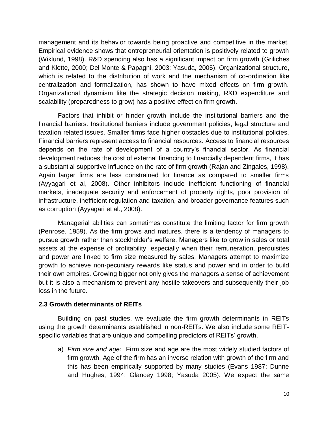management and its behavior towards being proactive and competitive in the market. Empirical evidence shows that entrepreneurial orientation is positively related to growth (Wiklund, 1998). R&D spending also has a significant impact on firm growth (Griliches and Klette, 2000; Del Monte & Papagni, 2003; Yasuda, 2005). Organizational structure, which is related to the distribution of work and the mechanism of co-ordination like centralization and formalization, has shown to have mixed effects on firm growth. Organizational dynamism like the strategic decision making, R&D expenditure and scalability (preparedness to grow) has a positive effect on firm growth.

Factors that inhibit or hinder growth include the institutional barriers and the financial barriers. Institutional barriers include government policies, legal structure and taxation related issues. Smaller firms face higher obstacles due to institutional policies. Financial barriers represent access to financial resources. Access to financial resources depends on the rate of development of a country"s financial sector. As financial development reduces the cost of external financing to financially dependent firms, it has a substantial supportive influence on the rate of firm growth (Rajan and Zingales, 1998). Again larger firms are less constrained for finance as compared to smaller firms (Ayyagari et al, 2008). Other inhibitors include inefficient functioning of financial markets, inadequate security and enforcement of property rights, poor provision of infrastructure, inefficient regulation and taxation, and broader governance features such as corruption (Ayyagari et al., 2008).

Managerial abilities can sometimes constitute the limiting factor for firm growth (Penrose, 1959). As the firm grows and matures, there is a tendency of managers to pursue growth rather than stockholder"s welfare. Managers like to grow in sales or total assets at the expense of profitability, especially when their remuneration, perquisites and power are linked to firm size measured by sales. Managers attempt to maximize growth to achieve non-pecuniary rewards like status and power and in order to build their own empires. Growing bigger not only gives the managers a sense of achievement but it is also a mechanism to prevent any hostile takeovers and subsequently their job loss in the future.

## **2.3 Growth determinants of REITs**

Building on past studies, we evaluate the firm growth determinants in REITs using the growth determinants established in non-REITs. We also include some REITspecific variables that are unique and compelling predictors of REITs' growth.

a) *Firm size and age:* Firm size and age are the most widely studied factors of firm growth. Age of the firm has an inverse relation with growth of the firm and this has been empirically supported by many studies (Evans 1987; Dunne and Hughes, 1994; Glancey 1998; Yasuda 2005). We expect the same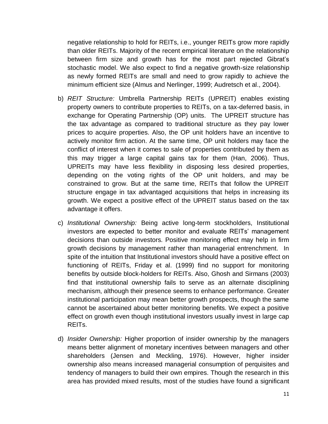negative relationship to hold for REITs, i.e., younger REITs grow more rapidly than older REITs. Majority of the recent empirical literature on the relationship between firm size and growth has for the most part rejected Gibrat"s stochastic model. We also expect to find a negative growth-size relationship as newly formed REITs are small and need to grow rapidly to achieve the minimum efficient size (Almus and Nerlinger, 1999; Audretsch et al., 2004).

- b) *REIT Structure:* Umbrella Partnership REITs (UPREIT) enables existing property owners to contribute properties to REITs, on a tax-deferred basis, in exchange for Operating Partnership (OP) units. The UPREIT structure has the tax advantage as compared to traditional structure as they pay lower prices to acquire properties. Also, the OP unit holders have an incentive to actively monitor firm action. At the same time, OP unit holders may face the conflict of interest when it comes to sale of properties contributed by them as this may trigger a large capital gains tax for them (Han, 2006). Thus, UPREITs may have less flexibility in disposing less desired properties, depending on the voting rights of the OP unit holders, and may be constrained to grow. But at the same time, REITs that follow the UPREIT structure engage in tax advantaged acquisitions that helps in increasing its growth. We expect a positive effect of the UPREIT status based on the tax advantage it offers.
- c) *Institutional Ownership:* Being active long-term stockholders, Institutional investors are expected to better monitor and evaluate REITs" management decisions than outside investors. Positive monitoring effect may help in firm growth decisions by management rather than managerial entrenchment. In spite of the intuition that Institutional investors should have a positive effect on functioning of REITs, Friday et al. (1999) find no support for monitoring benefits by outside block-holders for REITs. Also, Ghosh and Sirmans (2003) find that institutional ownership fails to serve as an alternate disciplining mechanism, although their presence seems to enhance performance. Greater institutional participation may mean better growth prospects, though the same cannot be ascertained about better monitoring benefits. We expect a positive effect on growth even though institutional investors usually invest in large cap REITs.
- d) *Insider Ownership:* Higher proportion of insider ownership by the managers means better alignment of monetary incentives between managers and other shareholders (Jensen and Meckling, 1976). However, higher insider ownership also means increased managerial consumption of perquisites and tendency of managers to build their own empires. Though the research in this area has provided mixed results, most of the studies have found a significant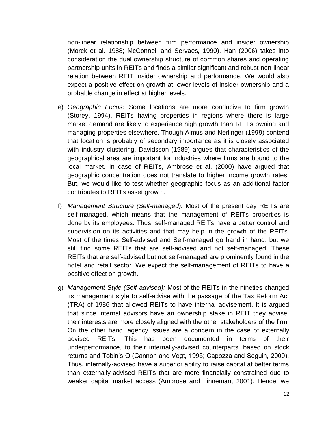non-linear relationship between firm performance and insider ownership (Morck et al. 1988; McConnell and Servaes, 1990). Han (2006) takes into consideration the dual ownership structure of common shares and operating partnership units in REITs and finds a similar significant and robust non-linear relation between REIT insider ownership and performance. We would also expect a positive effect on growth at lower levels of insider ownership and a probable change in effect at higher levels.

- e) *Geographic Focus:* Some locations are more conducive to firm growth (Storey, 1994). REITs having properties in regions where there is large market demand are likely to experience high growth than REITs owning and managing properties elsewhere. Though Almus and Nerlinger (1999) contend that location is probably of secondary importance as it is closely associated with industry clustering, Davidsson (1989) argues that characteristics of the geographical area are important for industries where firms are bound to the local market. In case of REITs, Ambrose et al. (2000) have argued that geographic concentration does not translate to higher income growth rates. But, we would like to test whether geographic focus as an additional factor contributes to REITs asset growth.
- f) *Management Structure (Self-managed):* Most of the present day REITs are self-managed, which means that the management of REITs properties is done by its employees. Thus, self-managed REITs have a better control and supervision on its activities and that may help in the growth of the REITs. Most of the times Self-advised and Self-managed go hand in hand, but we still find some REITs that are self-advised and not self-managed. These REITs that are self-advised but not self-managed are prominently found in the hotel and retail sector. We expect the self-management of REITs to have a positive effect on growth.
- g) *Management Style (Self-advised):* Most of the REITs in the nineties changed its management style to self-advise with the passage of the Tax Reform Act (TRA) of 1986 that allowed REITs to have internal advisement. It is argued that since internal advisors have an ownership stake in REIT they advise, their interests are more closely aligned with the other stakeholders of the firm. On the other hand, agency issues are a concern in the case of externally advised REITs. This has been documented in terms of their underperformance, to their internally-advised counterparts, based on stock returns and Tobin"s Q (Cannon and Vogt, 1995; Capozza and Seguin, 2000). Thus, internally-advised have a superior ability to raise capital at better terms than externally-advised REITs that are more financially constrained due to weaker capital market access (Ambrose and Linneman, 2001). Hence, we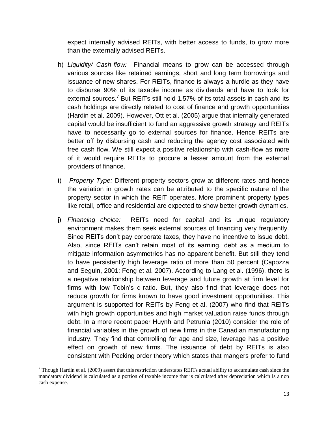expect internally advised REITs, with better access to funds, to grow more than the externally advised REITs.

- h) *Liquidity/ Cash-flow:* Financial means to grow can be accessed through various sources like retained earnings, short and long term borrowings and issuance of new shares. For REITs, finance is always a hurdle as they have to disburse 90% of its taxable income as dividends and have to look for external sources.<sup>7</sup> But REITs still hold 1.57% of its total assets in cash and its cash holdings are directly related to cost of finance and growth opportunities (Hardin et al. 2009). However, Ott et al. (2005) argue that internally generated capital would be insufficient to fund an aggressive growth strategy and REITs have to necessarily go to external sources for finance. Hence REITs are better off by disbursing cash and reducing the agency cost associated with free cash flow. We still expect a positive relationship with cash-flow as more of it would require REITs to procure a lesser amount from the external providers of finance.
- i) *Property Type:* Different property sectors grow at different rates and hence the variation in growth rates can be attributed to the specific nature of the property sector in which the REIT operates. More prominent property types like retail, office and residential are expected to show better growth dynamics.
- j) *Financing choice:* REITs need for capital and its unique regulatory environment makes them seek external sources of financing very frequently. Since REITs don"t pay corporate taxes, they have no incentive to issue debt. Also, since REITs can"t retain most of its earning, debt as a medium to mitigate information asymmetries has no apparent benefit. But still they tend to have persistently high leverage ratio of more than 50 percent (Capozza and Seguin, 2001; Feng et al. 2007). According to Lang et al. (1996), there is a negative relationship between leverage and future growth at firm level for firms with low Tobin"s q-ratio. But, they also find that leverage does not reduce growth for firms known to have good investment opportunities. This argument is supported for REITs by Feng et al. (2007) who find that REITs with high growth opportunities and high market valuation raise funds through debt. In a more recent paper Huynh and Petrunia (2010) consider the role of financial variables in the growth of new firms in the Canadian manufacturing industry. They find that controlling for age and size, leverage has a positive effect on growth of new firms. The issuance of debt by REITs is also consistent with Pecking order theory which states that mangers prefer to fund

 $\overline{a}$  $<sup>7</sup>$  Though Hardin et al. (2009) assert that this restriction understates REITs actual ability to accumulate cash since the</sup> mandatory dividend is calculated as a portion of taxable income that is calculated after depreciation which is a non cash expense.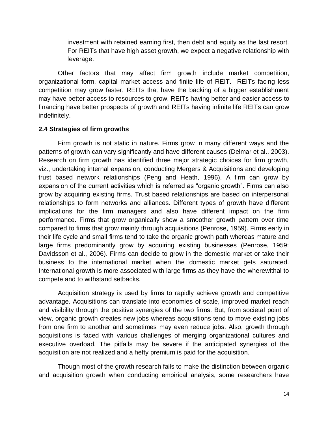investment with retained earning first, then debt and equity as the last resort. For REITs that have high asset growth, we expect a negative relationship with leverage.

Other factors that may affect firm growth include market competition, organizational form, capital market access and finite life of REIT. REITs facing less competition may grow faster, REITs that have the backing of a bigger establishment may have better access to resources to grow, REITs having better and easier access to financing have better prospects of growth and REITs having infinite life REITs can grow indefinitely.

## **2.4 Strategies of firm growths**

Firm growth is not static in nature. Firms grow in many different ways and the patterns of growth can vary significantly and have different causes (Delmar et al., 2003). Research on firm growth has identified three major strategic choices for firm growth, viz., undertaking internal expansion, conducting Mergers & Acquisitions and developing trust based network relationships (Peng and Heath, 1996). A firm can grow by expansion of the current activities which is referred as "organic growth". Firms can also grow by acquiring existing firms. Trust based relationships are based on interpersonal relationships to form networks and alliances. Different types of growth have different implications for the firm managers and also have different impact on the firm performance. Firms that grow organically show a smoother growth pattern over time compared to firms that grow mainly through acquisitions (Penrose, 1959). Firms early in their life cycle and small firms tend to take the organic growth path whereas mature and large firms predominantly grow by acquiring existing businesses (Penrose, 1959: Davidsson et al., 2006). Firms can decide to grow in the domestic market or take their business to the international market when the domestic market gets saturated. International growth is more associated with large firms as they have the wherewithal to compete and to withstand setbacks.

Acquisition strategy is used by firms to rapidly achieve growth and competitive advantage. Acquisitions can translate into economies of scale, improved market reach and visibility through the positive synergies of the two firms. But, from societal point of view, organic growth creates new jobs whereas acquisitions tend to move existing jobs from one firm to another and sometimes may even reduce jobs. Also, growth through acquisitions is faced with various challenges of merging organizational cultures and executive overload. The pitfalls may be severe if the anticipated synergies of the acquisition are not realized and a hefty premium is paid for the acquisition.

Though most of the growth research fails to make the distinction between organic and acquisition growth when conducting empirical analysis, some researchers have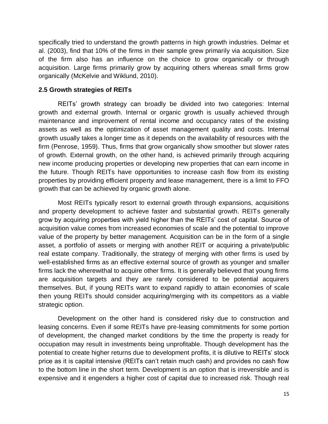specifically tried to understand the growth patterns in high growth industries. Delmar et al. (2003), find that 10% of the firms in their sample grew primarily via acquisition. Size of the firm also has an influence on the choice to grow organically or through acquisition. Large firms primarily grow by acquiring others whereas small firms grow organically (McKelvie and Wiklund, 2010).

# **2.5 Growth strategies of REITs**

REITs" growth strategy can broadly be divided into two categories: Internal growth and external growth. Internal or organic growth is usually achieved through maintenance and improvement of rental income and occupancy rates of the existing assets as well as the optimization of asset management quality and costs. Internal growth usually takes a longer time as it depends on the availability of resources with the firm (Penrose, 1959). Thus, firms that grow organically show smoother but slower rates of growth. External growth, on the other hand, is achieved primarily through acquiring new income producing properties or developing new properties that can earn income in the future. Though REITs have opportunities to increase cash flow from its existing properties by providing efficient property and lease management, there is a limit to FFO growth that can be achieved by organic growth alone.

Most REITs typically resort to external growth through expansions, acquisitions and property development to achieve faster and substantial growth. REITs generally grow by acquiring properties with yield higher than the REITs" cost of capital. Source of acquisition value comes from increased economies of scale and the potential to improve value of the property by better management. Acquisition can be in the form of a single asset, a portfolio of assets or merging with another REIT or acquiring a private/public real estate company. Traditionally, the strategy of merging with other firms is used by well-established firms as an effective external source of growth as younger and smaller firms lack the wherewithal to acquire other firms. It is generally believed that young firms are acquisition targets and they are rarely considered to be potential acquirers themselves. But, if young REITs want to expand rapidly to attain economies of scale then young REITs should consider acquiring/merging with its competitors as a viable strategic option.

Development on the other hand is considered risky due to construction and leasing concerns. Even if some REITs have pre-leasing commitments for some portion of development, the changed market conditions by the time the property is ready for occupation may result in investments being unprofitable. Though development has the potential to create higher returns due to development profits, it is dilutive to REITs" stock price as it is capital intensive (REITs can"t retain much cash) and provides no cash flow to the bottom line in the short term. Development is an option that is irreversible and is expensive and it engenders a higher cost of capital due to increased risk. Though real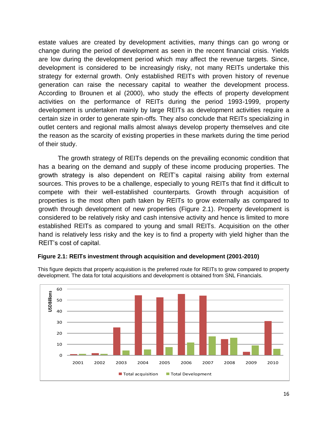estate values are created by development activities, many things can go wrong or change during the period of development as seen in the recent financial crisis. Yields are low during the development period which may affect the revenue targets. Since, development is considered to be increasingly risky, not many REITs undertake this strategy for external growth. Only established REITs with proven history of revenue generation can raise the necessary capital to weather the development process. According to Brounen et al (2000), who study the effects of property development activities on the performance of REITs during the period 1993-1999, property development is undertaken mainly by large REITs as development activities require a certain size in order to generate spin-offs. They also conclude that REITs specializing in outlet centers and regional malls almost always develop property themselves and cite the reason as the scarcity of existing properties in these markets during the time period of their study.

The growth strategy of REITs depends on the prevailing economic condition that has a bearing on the demand and supply of these income producing properties. The growth strategy is also dependent on REIT"s capital raising ability from external sources. This proves to be a challenge, especially to young REITs that find it difficult to compete with their well-established counterparts. Growth through acquisition of properties is the most often path taken by REITs to grow externally as compared to growth through development of new properties (Figure 2.1). Property development is considered to be relatively risky and cash intensive activity and hence is limited to more established REITs as compared to young and small REITs. Acquisition on the other hand is relatively less risky and the key is to find a property with yield higher than the REIT"s cost of capital.



**Figure 2.1: REITs investment through acquisition and development (2001-2010)**

This figure depicts that property acquisition is the preferred route for REITs to grow compared to property development. The data for total acquisitions and development is obtained from SNL Financials.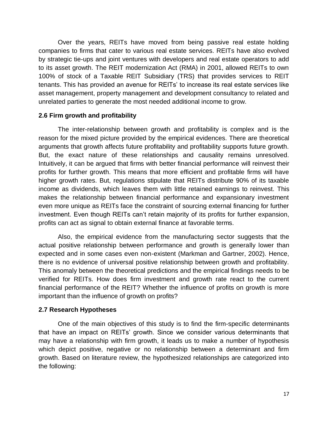Over the years, REITs have moved from being passive real estate holding companies to firms that cater to various real estate services. REITs have also evolved by strategic tie-ups and joint ventures with developers and real estate operators to add to its asset growth. The REIT modernization Act (RMA) in 2001, allowed REITs to own 100% of stock of a Taxable REIT Subsidiary (TRS) that provides services to REIT tenants. This has provided an avenue for REITs" to increase its real estate services like asset management, property management and development consultancy to related and unrelated parties to generate the most needed additional income to grow.

# **2.6 Firm growth and profitability**

The inter-relationship between growth and profitability is complex and is the reason for the mixed picture provided by the empirical evidences. There are theoretical arguments that growth affects future profitability and profitability supports future growth. But, the exact nature of these relationships and causality remains unresolved. Intuitively, it can be argued that firms with better financial performance will reinvest their profits for further growth. This means that more efficient and profitable firms will have higher growth rates. But, regulations stipulate that REITs distribute 90% of its taxable income as dividends, which leaves them with little retained earnings to reinvest. This makes the relationship between financial performance and expansionary investment even more unique as REITs face the constraint of sourcing external financing for further investment. Even though REITs can"t retain majority of its profits for further expansion, profits can act as signal to obtain external finance at favorable terms.

Also, the empirical evidence from the manufacturing sector suggests that the actual positive relationship between performance and growth is generally lower than expected and in some cases even non-existent (Markman and Gartner, 2002). Hence, there is no evidence of universal positive relationship between growth and profitability. This anomaly between the theoretical predictions and the empirical findings needs to be verified for REITs. How does firm investment and growth rate react to the current financial performance of the REIT? Whether the influence of profits on growth is more important than the influence of growth on profits?

## **2.7 Research Hypotheses**

One of the main objectives of this study is to find the firm-specific determinants that have an impact on REITs' growth. Since we consider various determinants that may have a relationship with firm growth, it leads us to make a number of hypothesis which depict positive, negative or no relationship between a determinant and firm growth. Based on literature review, the hypothesized relationships are categorized into the following: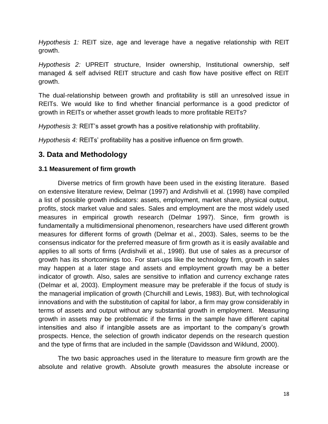*Hypothesis 1:* REIT size, age and leverage have a negative relationship with REIT growth.

*Hypothesis 2:* UPREIT structure, Insider ownership, Institutional ownership, self managed & self advised REIT structure and cash flow have positive effect on REIT growth.

The dual-relationship between growth and profitability is still an unresolved issue in REITs. We would like to find whether financial performance is a good predictor of growth in REITs or whether asset growth leads to more profitable REITs?

*Hypothesis 3:* REIT's asset growth has a positive relationship with profitability.

*Hypothesis 4:* REITs' profitability has a positive influence on firm growth.

# **3. Data and Methodology**

# **3.1 Measurement of firm growth**

Diverse metrics of firm growth have been used in the existing literature. Based on extensive literature review, Delmar (1997) and Ardishvili et al. (1998) have compiled a list of possible growth indicators: assets, employment, market share, physical output, profits, stock market value and sales. Sales and employment are the most widely used measures in empirical growth research (Delmar 1997). Since, firm growth is fundamentally a multidimensional phenomenon, researchers have used different growth measures for different forms of growth (Delmar et al., 2003). Sales, seems to be the consensus indicator for the preferred measure of firm growth as it is easily available and applies to all sorts of firms (Ardishvili et al., 1998). But use of sales as a precursor of growth has its shortcomings too. For start-ups like the technology firm, growth in sales may happen at a later stage and assets and employment growth may be a better indicator of growth. Also, sales are sensitive to inflation and currency exchange rates (Delmar et al, 2003). Employment measure may be preferable if the focus of study is the managerial implication of growth (Churchill and Lewis, 1983). But, with technological innovations and with the substitution of capital for labor, a firm may grow considerably in terms of assets and output without any substantial growth in employment. Measuring growth in assets may be problematic if the firms in the sample have different capital intensities and also if intangible assets are as important to the company"s growth prospects. Hence, the selection of growth indicator depends on the research question and the type of firms that are included in the sample (Davidsson and Wiklund, 2000).

The two basic approaches used in the literature to measure firm growth are the absolute and relative growth. Absolute growth measures the absolute increase or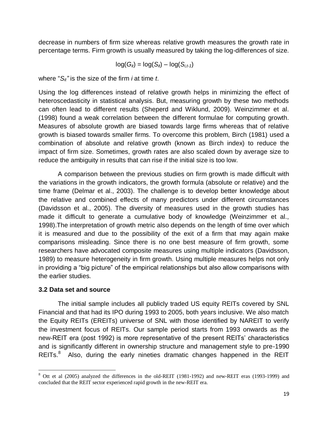decrease in numbers of firm size whereas relative growth measures the growth rate in percentage terms. Firm growth is usually measured by taking the log-differences of size.

$$
\log(G_{it}) = \log(S_{it}) - \log(S_{i,t-1})
$$

where "*Sit"* is the size of the firm *i* at time *t*.

Using the log differences instead of relative growth helps in minimizing the effect of heteroscedasticity in statistical analysis. But, measuring growth by these two methods can often lead to different results (Sheperd and Wiklund, 2009). Weinzimmer et al. (1998) found a weak correlation between the different formulae for computing growth. Measures of absolute growth are biased towards large firms whereas that of relative growth is biased towards smaller firms. To overcome this problem, Birch (1981) used a combination of absolute and relative growth (known as Birch index) to reduce the impact of firm size. Sometimes, growth rates are also scaled down by average size to reduce the ambiguity in results that can rise if the initial size is too low.

A comparison between the previous studies on firm growth is made difficult with the variations in the growth indicators, the growth formula (absolute or relative) and the time frame (Delmar et al., 2003). The challenge is to develop better knowledge about the relative and combined effects of many predictors under different circumstances (Davidsson et al., 2005). The diversity of measures used in the growth studies has made it difficult to generate a cumulative body of knowledge (Weinzimmer et al., 1998).The interpretation of growth metric also depends on the length of time over which it is measured and due to the possibility of the exit of a firm that may again make comparisons misleading. Since there is no one best measure of firm growth, some researchers have advocated composite measures using multiple indicators (Davidsson, 1989) to measure heterogeneity in firm growth. Using multiple measures helps not only in providing a "big picture" of the empirical relationships but also allow comparisons with the earlier studies.

## **3.2 Data set and source**

 $\overline{a}$ 

The initial sample includes all publicly traded US equity REITs covered by SNL Financial and that had its IPO during 1993 to 2005, both years inclusive. We also match the Equity REITs (EREITs) universe of SNL with those identified by NAREIT to verify the investment focus of REITs. Our sample period starts from 1993 onwards as the new-REIT era (post 1992) is more representative of the present REITs" characteristics and is significantly different in ownership structure and management style to pre-1990 REITs. $8$  Also, during the early nineties dramatic changes happened in the REIT

<sup>8</sup> Ott et al (2005) analyzed the differences in the old-REIT (1981-1992) and new-REIT eras (1993-1999) and concluded that the REIT sector experienced rapid growth in the new-REIT era.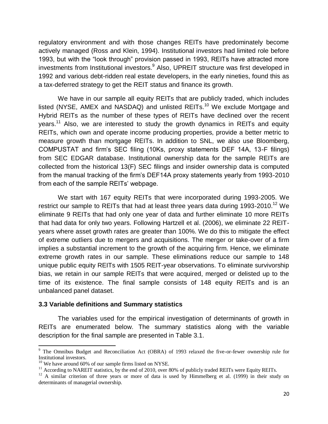regulatory environment and with those changes REITs have predominately become actively managed (Ross and Klein, 1994). Institutional investors had limited role before 1993, but with the "look through" provision passed in 1993, REITs have attracted more investments from Institutional investors.<sup>9</sup> Also, UPREIT structure was first developed in 1992 and various debt-ridden real estate developers, in the early nineties, found this as a tax-deferred strategy to get the REIT status and finance its growth.

We have in our sample all equity REITs that are publicly traded, which includes listed (NYSE, AMEX and NASDAQ) and unlisted REITs.<sup>10</sup> We exclude Mortgage and Hybrid REITs as the number of these types of REITs have declined over the recent years.<sup>11</sup> Also, we are interested to study the growth dynamics in REITs and equity REITs, which own and operate income producing properties, provide a better metric to measure growth than mortgage REITs. In addition to SNL, we also use Bloomberg, COMPUSTAT and firm"s SEC filing (10Ks, proxy statements DEF 14A, 13-F filings) from SEC EDGAR database. Institutional ownership data for the sample REITs are collected from the historical 13(F) SEC filings and insider ownership data is computed from the manual tracking of the firm"s DEF14A proxy statements yearly from 1993-2010 from each of the sample REITs' webpage.

We start with 167 equity REITs that were incorporated during 1993-2005. We restrict our sample to REITs that had at least three years data during 1993-2010.<sup>12</sup> We eliminate 9 REITs that had only one year of data and further eliminate 10 more REITs that had data for only two years. Following Hartzell et al. (2006), we eliminate 22 REITyears where asset growth rates are greater than 100%. We do this to mitigate the effect of extreme outliers due to mergers and acquisitions. The merger or take-over of a firm implies a substantial increment to the growth of the acquiring firm. Hence, we eliminate extreme growth rates in our sample. These eliminations reduce our sample to 148 unique public equity REITs with 1505 REIT-year observations. To eliminate survivorship bias, we retain in our sample REITs that were acquired, merged or delisted up to the time of its existence. The final sample consists of 148 equity REITs and is an unbalanced panel dataset.

#### **3.3 Variable definitions and Summary statistics**

The variables used for the empirical investigation of determinants of growth in REITs are enumerated below. The summary statistics along with the variable description for the final sample are presented in Table 3.1.

 $\overline{\phantom{a}}$ 

 $9$  The Omnibus Budget and Reconciliation Act (OBRA) of 1993 relaxed the five-or-fewer ownership rule for Institutional investors.

 $10$  We have around 60% of our sample firms listed on NYSE.

 $11$  According to NAREIT statistics, by the end of 2010, over 80% of publicly traded REITs were Equity REITs.

<sup>&</sup>lt;sup>12</sup> A similar criterion of three years or more of data is used by Himmelberg et al. (1999) in their study on determinants of managerial ownership.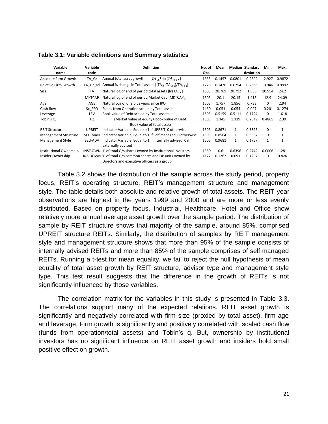| Variable                       | Variable       | <b>Definition</b>                                                                                | No. of | Mean   |              | <b>Median Standard</b> | Min.         | Max.         |
|--------------------------------|----------------|--------------------------------------------------------------------------------------------------|--------|--------|--------------|------------------------|--------------|--------------|
| name                           | code           |                                                                                                  |        |        |              | deviation              |              |              |
| Absolute Firm Growth           | TA Gr          | Annual total asset growth [ln $(TA_{i,t})$ -ln $(TA_{i,t-1})$ ]                                  | 1335   | 0.1457 | 0.0801       | 0.2592                 | $-2.927$     | 0.9872       |
| <b>Relative Firm Growth</b>    | TA Gr rel      | Annual % change in Total assets [(TA <sub>i.t</sub> -TA <sub>i.t-1</sub> )/TA <sub>i.t-1</sub> ] | 1278   | 0.1476 | 0.0754       | 0.2365                 | $-0.946$     | 0.9992       |
| Size                           | <b>TA</b>      | Natural log of end of period total assets $[ln(TA_t)]$                                           | 1505   | 20.769 | 20.792       | 1.353                  | 10.954       | 24.2         |
|                                | <b>MKTCAP</b>  | Natural log of end of period Market Cap [MKTCAP, )]                                              | 1505   | 20.1   | 20.15        | 1.415                  | 12.9         | 24.09        |
| Age                            | AGE            | Natural Log of one plus years since IPO                                                          | 1505   | 1.757  | 1.856        | 0.733                  | 0            | 2.94         |
| Cash flow                      | Sc FFO         | Funds from Operation scaled by Total assets                                                      | 1460   | 0.051  | 0.054        | 0.027                  | $-0.201$     | 0.1274       |
| Leverage                       | LEV            | Book value of Debt scaled by Total assets                                                        | 1505   | 0.5159 | 0.5111       | 0.1724                 | 0            | 1.618        |
| Tobin's Q                      | TQ             | (Market value of equity+ book value of Debt)                                                     | 1505   | 1.145  | 1.119        | 0.2549                 | 0.4865       | 2.39         |
|                                |                | Book value of total assets                                                                       |        |        |              |                        |              |              |
| <b>REIT Structure</b>          | <b>UPREIT</b>  | Indicator Variable, Equal to 1 if UPREIT, 0 otherwise                                            | 1505   | 0.8671 | $\mathbf{1}$ | 0.3395                 | 0            |              |
| <b>Management Structure</b>    | SELFMAN        | Indicator Variable, Equal to 1 if Self managed, 0 otherwise                                      | 1505   | 0.8564 | $\mathbf{1}$ | 0.3567                 | 0            | $\mathbf{1}$ |
| Management Style               | <b>SELFADV</b> | Indicator Variable, Equal to 1 if internally advised, 0 if                                       | 1505   | 0.9681 | $\mathbf{1}$ | 0.1757                 | $\mathbf{1}$ | 1            |
|                                |                | externally advised                                                                               |        |        |              |                        |              |              |
| <b>Institutional Ownership</b> |                | INSTIOWN % of total O/s shares owned by Institutional Investors                                  | 1380   | 0.6    | 0.6396       | 0.2742                 | 0.0006       | 1.281        |
| Insider Ownership              |                | INSIDOWN % of total O/s common shares and OP units owned by                                      | 1122   | 0.1262 | 0.091        | 0.1207                 | 0            | 0.826        |
|                                |                | Directors and executive officers as a group                                                      |        |        |              |                        |              |              |

**Table 3.1: Variable definitions and Summary statistics**

Table 3.2 shows the distribution of the sample across the study period, property focus, REIT"s operating structure, REIT"s management structure and management style. The table details both absolute and relative growth of total assets. The REIT-year observations are highest in the years 1999 and 2000 and are more or less evenly distributed. Based on property focus, Industrial, Healthcare, Hotel and Office show relatively more annual average asset growth over the sample period. The distribution of sample by REIT structure shows that majority of the sample, around 85%, comprised UPREIT structure REITs. Similarly, the distribution of samples by REIT management style and management structure shows that more than 95% of the sample consists of internally advised REITs and more than 85% of the sample comprises of self managed REITs. Running a t-test for mean equality, we fail to reject the null hypothesis of mean equality of total asset growth by REIT structure, advisor type and management style type. This test result suggests that the difference in the growth of REITs is not significantly influenced by those variables.

The correlation matrix for the variables in this study is presented in Table 3.3. The correlations support many of the expected relations. REIT asset growth is significantly and negatively correlated with firm size (proxied by total asset), firm age and leverage. Firm growth is significantly and positively correlated with scaled cash flow (funds from operation/total assets) and Tobin"s q. But, ownership by institutional investors has no significant influence on REIT asset growth and insiders hold small positive effect on growth.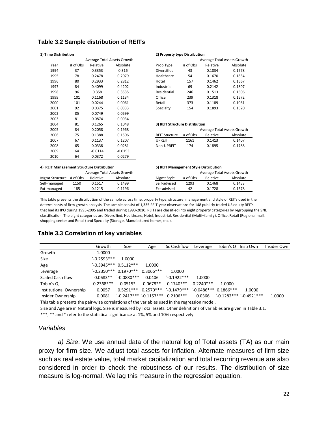| 1) Time Distribution |          |           |                             | 2) Property type Distribution  |          |                             |          |
|----------------------|----------|-----------|-----------------------------|--------------------------------|----------|-----------------------------|----------|
|                      |          |           | Average Total Assets Growth |                                |          | Average Total Assets Growth |          |
| Year                 | # of Obs | Relative  | Absolute                    | Prop Type                      | # of Obs | Relative                    | Absolute |
| 1994                 | 37       | 0.3353    | 0.316                       | Diversified                    | 43       | 0.1834                      | 0.1578   |
| 1995                 | 78       | 0.2478    | 0.2079                      | Healthcare                     | 54       | 0.1670                      | 0.1834   |
| 1996                 | 80       | 0.2933    | 0.2812                      | Hotel                          | 157      | 0.1462                      | 0.1667   |
| 1997                 | 84       | 0.4099    | 0.4202                      | Industrial                     | 69       | 0.2142                      | 0.1807   |
| 1998                 | 96       | 0.358     | 0.3535                      | Residential                    | 246      | 0.1513                      | 0.1506   |
| 1999                 | 101      | 0.1168    | 0.1134                      | Office                         | 239      | 0.1318                      | 0.1572   |
| 2000                 | 101      | 0.0244    | 0.0061                      | Retail                         | 373      | 0.1189                      | 0.1061   |
| 2001                 | 92       | 0.0375    | 0.0333                      | Specialty                      | 154      | 0.1893                      | 0.1620   |
| 2002                 | 85       | 0.0749    | 0.0599                      |                                |          |                             |          |
| 2003                 | 81       | 0.0874    | 0.0934                      |                                |          |                             |          |
| 2004                 | 81       | 0.1265    | 0.1048                      | 3) REIT Structure Distribution |          |                             |          |
| 2005                 | 84       | 0.2058    | 0.1968                      |                                |          | Average Total Assets Growth |          |
| 2006                 | 75       | 0.1388    | 0.1506                      | <b>REIT Stucture</b>           | # of Obs | Relative                    | Absolute |
| 2007                 | 67       | 0.1137    | 0.1207                      | UPREIT                         | 1161     | 0.1413                      | 0.1407   |
| 2008                 | 65       | 0.0338    | 0.0281                      | Non-UPREIT                     | 174      | 0.1895                      | 0.1788   |
| 2009                 | 64       | $-0.0114$ | $-0.0153$                   |                                |          |                             |          |
| 2010                 | 64       | 0.0372    | 0.0279                      |                                |          |                             |          |

#### **Table 3.2 Sample distribution of REITs**

| 4) REIT Management Structure Distribution |      |          |          | 5) REIT Management Style Distribution |          |          |                             |  |
|-------------------------------------------|------|----------|----------|---------------------------------------|----------|----------|-----------------------------|--|
| Average Total Assets Growth               |      |          |          |                                       |          |          | Average Total Assets Growth |  |
| Mgmt Structure # of Obs                   |      | Relative | Absolute | Mgmt Style                            | # of Obs | Relative | Absolute                    |  |
| Self-managed                              | 1150 | 0.1517   | 0.1499   | Self-advised                          | 1293     | 0.1468   | 0.1453                      |  |
| Ext-managed                               | 185  | 0.1215   | 0.1196   | Ext-advised                           | 42       | 0.1728   | 0.1578                      |  |

This table presents the distribution of the sample across time, property type, structure, management and style of REITs used in the determinants of firm growth analysis. The sample consist of 1,335 REIT-year observations for 148 publicly traded US equity REITs that had its IPO during 1993-2005 and traded during 1993-2010. REITs are classified into eight property categories by regrouping the SNL classification. The eight categories are Diversified, Healthcare, Hotel, Industrial, Residential (Multi–family), Office, Retail (Regional mall, shopping center and Retail) and Specialty (Storage, Manufactured homes, etc.).

# **Table 3.3 Correlation of key variables**

|                         | Growth                  | Size                   | Age         | Sc Cashflow                         | Leverage               | Tobin's Q Insti Own |                          | Insider Own |
|-------------------------|-------------------------|------------------------|-------------|-------------------------------------|------------------------|---------------------|--------------------------|-------------|
| Growth                  | 1.0000                  |                        |             |                                     |                        |                     |                          |             |
| Size                    | $-0.2593***$            | 1.0000                 |             |                                     |                        |                     |                          |             |
| Age                     | $`-0.3945***$ 0.5112*** |                        | 1.0000      |                                     |                        |                     |                          |             |
| Leverage                |                         | $-0.2350***$ 0.1970*** | $0.3066***$ | 1.0000                              |                        |                     |                          |             |
| Scaled Cash flow        | $0.0683**$              | $^{\circ}$ -0.0880***  | 0.0406      | $`$ -0.1922***                      | 1.0000                 |                     |                          |             |
| Tobin's Q               | $0.2368***$             | $0.0515*$              | $0.0678**$  | $0.1740***$                         | $0.2240***$            | 1.0000              |                          |             |
| Institutional Ownership | 0.0057                  | $0.5291***$            | $0.2570***$ | $`$ -0.1479***                      | $`-0.0486***0.1866***$ |                     | 1.0000                   |             |
| Insider Ownership       | 0.0081                  |                        |             | $`-0.2417***`-0.1157***`0.2106****$ | 0.0366                 |                     | $`-0.1282***`-0.4921***$ | 1.0000      |

This table presents the pair-wise correlations of the variables used in the regression model.

Size and Age are in Natural logs. Size is measured by Total assets. Other definitions of variables are given in Table 3.1.

\*\*\*, \*\* and \* refer to the statistical significance at 1%, 5% and 10% respectively.

#### *Variables*

*a) Size*: We use annual data of the natural log of Total assets (TA) as our main proxy for firm size. We adjust total assets for inflation. Alternate measures of firm size such as real estate value, total market capitalization and total recurring revenue are also considered in order to check the robustness of our results. The distribution of size measure is log-normal. We lag this measure in the regression equation.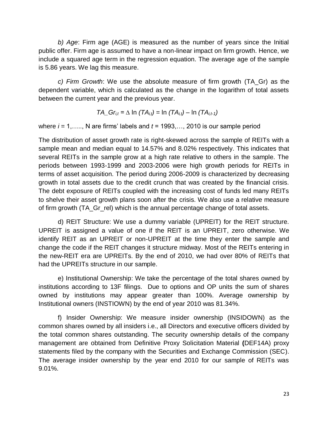*b) Age*: Firm age (AGE) is measured as the number of years since the Initial public offer. Firm age is assumed to have a non-linear impact on firm growth. Hence, we include a squared age term in the regression equation. The average age of the sample is 5.86 years. We lag this measure.

*c) Firm Growth*: We use the absolute measure of firm growth (TA\_Gr) as the dependent variable, which is calculated as the change in the logarithm of total assets between the current year and the previous year.

$$
TA\_Gr_{i,t} = \Delta \ln (TA_{i,t}) = \ln (TA_{i,t}) - \ln (TA_{i,t-1})
$$

where  $i = 1, \ldots, N$  are firms' labels and  $t = 1993, \ldots, 2010$  is our sample period

The distribution of asset growth rate is right-skewed across the sample of REITs with a sample mean and median equal to 14.57% and 8.02% respectively. This indicates that several REITs in the sample grow at a high rate relative to others in the sample. The periods between 1993-1999 and 2003-2006 were high growth periods for REITs in terms of asset acquisition. The period during 2006-2009 is characterized by decreasing growth in total assets due to the credit crunch that was created by the financial crisis. The debt exposure of REITs coupled with the increasing cost of funds led many REITs to shelve their asset growth plans soon after the crisis. We also use a relative measure of firm growth (TA\_Gr\_rel) which is the annual percentage change of total assets.

d) REIT Structure: We use a dummy variable (UPREIT) for the REIT structure. UPREIT is assigned a value of one if the REIT is an UPREIT, zero otherwise. We identify REIT as an UPREIT or non-UPREIT at the time they enter the sample and change the code if the REIT changes it structure midway. Most of the REITs entering in the new-REIT era are UPREITs. By the end of 2010, we had over 80% of REITs that had the UPREITs structure in our sample.

e) Institutional Ownership: We take the percentage of the total shares owned by institutions according to 13F filings. Due to options and OP units the sum of shares owned by institutions may appear greater than 100%. Average ownership by Institutional owners (INSTIOWN) by the end of year 2010 was 81.34%.

f) Insider Ownership: We measure insider ownership (INSIDOWN) as the common shares owned by all insiders i.e., all Directors and executive officers divided by the total common shares outstanding. The security ownership details of the company management are obtained from Definitive Proxy Solicitation Material **(**DEF14A) proxy statements filed by the company with the Securities and Exchange Commission (SEC). The average insider ownership by the year end 2010 for our sample of REITs was 9.01%.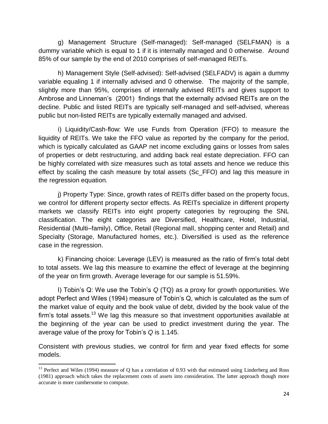g) Management Structure (Self-managed): Self-managed (SELFMAN) is a dummy variable which is equal to 1 if it is internally managed and 0 otherwise. Around 85% of our sample by the end of 2010 comprises of self-managed REITs.

h) Management Style (Self-advised): Self-advised (SELFADV) is again a dummy variable equaling 1 if internally advised and 0 otherwise. The majority of the sample, slightly more than 95%, comprises of internally advised REITs and gives support to Ambrose and Linneman"s (2001) findings that the externally advised REITs are on the decline. Public and listed REITs are typically self-managed and self-advised, whereas public but non-listed REITs are typically externally managed and advised.

i) Liquidity/Cash-flow: We use Funds from Operation (FFO) to measure the liquidity of REITs. We take the FFO value as reported by the company for the period, which is typically calculated as GAAP net income excluding gains or losses from sales of properties or debt restructuring, and adding back real estate depreciation. FFO can be highly correlated with size measures such as total assets and hence we reduce this effect by scaling the cash measure by total assets (Sc\_FFO) and lag this measure in the regression equation.

j) Property Type: Since, growth rates of REITs differ based on the property focus, we control for different property sector effects. As REITs specialize in different property markets we classify REITs into eight property categories by regrouping the SNL classification. The eight categories are Diversified, Healthcare, Hotel, Industrial, Residential (Multi–family), Office, Retail (Regional mall, shopping center and Retail) and Specialty (Storage, Manufactured homes, etc.). Diversified is used as the reference case in the regression.

k) Financing choice: Leverage (LEV) is measured as the ratio of firm"s total debt to total assets. We lag this measure to examine the effect of leverage at the beginning of the year on firm growth. Average leverage for our sample is 51.59%.

l) Tobin"s Q: We use the Tobin"s *Q* (TQ) as a proxy for growth opportunities. We adopt Perfect and Wiles (1994) measure of Tobin"s Q, which is calculated as the sum of the market value of equity and the book value of debt, divided by the book value of the firm's total assets.<sup>13</sup> We lag this measure so that investment opportunities available at the beginning of the year can be used to predict investment during the year. The average value of the proxy for Tobin"s *Q* is 1.145.

Consistent with previous studies, we control for firm and year fixed effects for some models.

 $\overline{a}$ <sup>13</sup> Perfect and Wiles (1994) measure of Q has a correlation of 0.93 with that estimated using Linderberg and Ross (1981) approach which takes the replacement costs of assets into consideration. The latter approach though more accurate is more cumbersome to compute.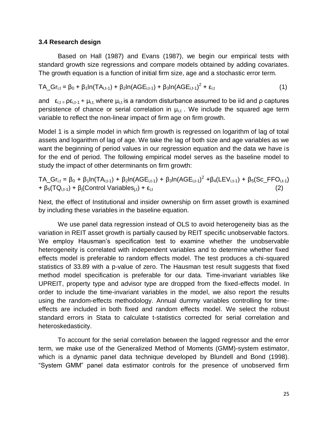#### **3.4 Research design**

Based on Hall (1987) and Evans (1987), we begin our empirical tests with standard growth size regressions and compare models obtained by adding covariates. The growth equation is a function of initial firm size, age and a stochastic error term.

$$
TA\_Gr_{i,t} = \beta_0 + \beta_1 ln(TA_{i,t-1}) + \beta_2 ln(AGE_{i,t-1}) + \beta_3 ln(AGE_{i,t-1})^2 + \epsilon_{i,t}
$$
 (1)

and  $\epsilon_{i,t} = \rho \epsilon_{i,t-1} + \mu_{i,t}$ , where  $\mu_{i,t}$  is a random disturbance assumed to be iid and  $\rho$  captures persistence of chance or serial correlation in  $\mu_{i,t}$ . We include the squared age term variable to reflect the non-linear impact of firm age on firm growth.

Model 1 is a simple model in which firm growth is regressed on logarithm of lag of total assets and logarithm of lag of age. We take the lag of both size and age variables as we want the beginning of period values in our regression equation and the data we have is for the end of period. The following empirical model serves as the baseline model to study the impact of other determinants on firm growth:

TA\_Gr<sub>i,t</sub> = β<sub>0</sub> + β<sub>1</sub>ln(TA<sub>i,t-1</sub>) + β<sub>2</sub>ln(AGE<sub>i,t-1</sub>) + β<sub>3</sub>ln(AGE<sub>i,t-1</sub>)<sup>2</sup> +β<sub>4</sub>(LEV<sub>i,t-1</sub>) + β<sub>5</sub>(Sc\_FFO<sub>i,t-1</sub>)  $+ \beta_5(TQ_{i,t-1}) + \beta_i(Control\ Variables_{i,t}) + \epsilon_{i,t}$  (2)

Next, the effect of Institutional and insider ownership on firm asset growth is examined by including these variables in the baseline equation.

We use panel data regression instead of OLS to avoid heterogeneity bias as the variation in REIT asset growth is partially caused by REIT specific unobservable factors. We employ Hausman's specification test to examine whether the unobservable heterogeneity is correlated with independent variables and to determine whether fixed effects model is preferable to random effects model. The test produces a chi-squared statistics of 33.89 with a p-value of zero. The Hausman test result suggests that fixed method model specification is preferable for our data. Time-invariant variables like UPREIT, property type and advisor type are dropped from the fixed-effects model. In order to include the time-invariant variables in the model, we also report the results using the random-effects methodology. Annual dummy variables controlling for timeeffects are included in both fixed and random effects model. We select the robust standard errors in Stata to calculate t-statistics corrected for serial correlation and heteroskedasticity.

To account for the serial correlation between the lagged regressor and the error term, we make use of the Generalized Method of Moments (GMM)-system estimator, which is a dynamic panel data technique developed by Blundell and Bond (1998). "System GMM" panel data estimator controls for the presence of unobserved firm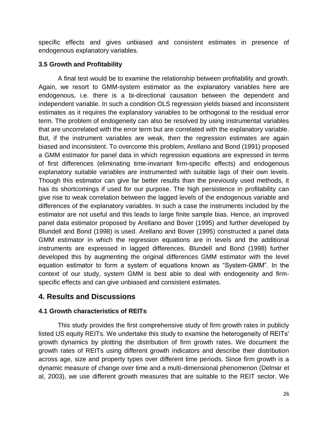specific effects and gives unbiased and consistent estimates in presence of endogenous explanatory variables.

# **3.5 Growth and Profitability**

A final test would be to examine the relationship between profitability and growth. Again, we resort to GMM-system estimator as the explanatory variables here are endogenous, i.e. there is a bi-directional causation between the dependent and independent variable. In such a condition OLS regression yields biased and inconsistent estimates as it requires the explanatory variables to be orthogonal to the residual error term. The problem of endogeneity can also be resolved by using instrumental variables that are uncorrelated with the error term but are correlated with the explanatory variable. But, if the instrument variables are weak, then the regression estimates are again biased and inconsistent. To overcome this problem, Arellano and Bond (1991) proposed a GMM estimator for panel data in which regression equations are expressed in terms of first differences (eliminating time-invariant firm-specific effects) and endogenous explanatory suitable variables are instrumented with suitable lags of their own levels. Though this estimator can give far better results than the previously used methods, it has its shortcomings if used for our purpose. The high persistence in profitability can give rise to weak correlation between the lagged levels of the endogenous variable and differences of the explanatory variables. In such a case the instruments included by the estimator are not useful and this leads to large finite sample bias. Hence, an improved panel data estimator proposed by Arellano and Bover (1995) and further developed by Blundell and Bond (1998) is used. Arellano and Bover (1995) constructed a panel data GMM estimator in which the regression equations are in levels and the additional instruments are expressed in lagged differences. Blundell and Bond (1998) further developed this by augmenting the original differences GMM estimator with the level equation estimator to form a system of equations known as "System-GMM". In the context of our study, system GMM is best able to deal with endogeneity and firmspecific effects and can give unbiased and consistent estimates.

# **4. Results and Discussions**

# **4.1 Growth characteristics of REITs**

This study provides the first comprehensive study of firm growth rates in publicly listed US equity REITs. We undertake this study to examine the heterogeneity of REITs" growth dynamics by plotting the distribution of firm growth rates. We document the growth rates of REITs using different growth indicators and describe their distribution across age, size and property types over different time periods. Since firm growth is a dynamic measure of change over time and a multi-dimensional phenomenon (Delmar et al, 2003), we use different growth measures that are suitable to the REIT sector. We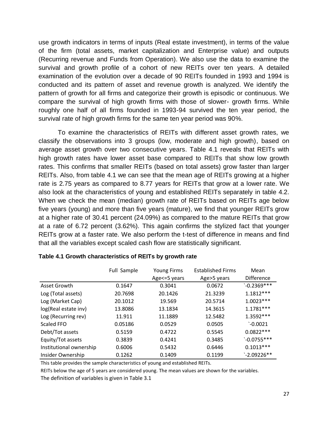use growth indicators in terms of inputs (Real estate investment), in terms of the value of the firm (total assets, market capitalization and Enterprise value) and outputs (Recurring revenue and Funds from Operation). We also use the data to examine the survival and growth profile of a cohort of new REITs over ten years. A detailed examination of the evolution over a decade of 90 REITs founded in 1993 and 1994 is conducted and its pattern of asset and revenue growth is analyzed. We identify the pattern of growth for all firms and categorize their growth is episodic or continuous. We compare the survival of high growth firms with those of slower- growth firms. While roughly one half of all firms founded in 1993-94 survived the ten year period, the survival rate of high growth firms for the same ten year period was 90%.

To examine the characteristics of REITs with different asset growth rates, we classify the observations into 3 groups (low, moderate and high growth), based on average asset growth over two consecutive years. Table 4.1 reveals that REITs with high growth rates have lower asset base compared to REITs that show low growth rates. This confirms that smaller REITs (based on total assets) grow faster than larger REITs. Also, from table 4.1 we can see that the mean age of REITs growing at a higher rate is 2.75 years as compared to 8.77 years for REITs that grow at a lower rate. We also look at the characteristics of young and established REITs separately in table 4.2. When we check the mean (median) growth rate of REITs based on REITs age below five years (young) and more than five years (mature), we find that younger REITs grow at a higher rate of 30.41 percent (24.09%) as compared to the mature REITs that grow at a rate of 6.72 percent (3.62%). This again confirms the stylized fact that younger REITs grow at a faster rate. We also perform the t-test of difference in means and find that all the variables except scaled cash flow are statistically significant.

|                         | Full Sample | <b>Established Firms</b><br><b>Young Firms</b> |             | Mean              |
|-------------------------|-------------|------------------------------------------------|-------------|-------------------|
|                         |             | Age <= 5 years                                 | Age>5 years | <b>Difference</b> |
| Asset Growth            | 0.1647      | 0.3041                                         | 0.0672      | $-0.2369***$      |
| Log (Total assets)      | 20.7698     | 20.1426                                        | 21.3239     | $1.1812***$       |
| Log (Market Cap)        | 20.1012     | 19.569                                         | 20.5714     | $1.0023***$       |
| log(Real estate inv)    | 13.8086     | 13.1834                                        | 14.3615     | $1.1781***$       |
| Log (Recurring rev)     | 11.911      | 11.1889                                        | 12.5482     | 1.3592 ***        |
| Scaled FFO              | 0.05186     | 0.0529                                         | 0.0505      | $-0.0021$         |
| Debt/Tot assets         | 0.5159      | 0.4722                                         | 0.5545      | $0.0822***$       |
| Equity/Tot assets       | 0.3839      | 0.4241                                         | 0.3485      | $`-0.0755***$     |
| Institutional ownership | 0.6006      | 0.5432                                         | 0.6446      | $0.1013***$       |
| Insider Ownership       | 0.1262      | 0.1409                                         | 0.1199      | $`-2.09226**$     |

#### **Table 4.1 Growth characteristics of REITs by growth rate**

This table provides the sample characteristics of young and established REITs.

REITs below the age of 5 years are considered young. The mean values are shown for the variables.

The definition of variables is given in Table 3.1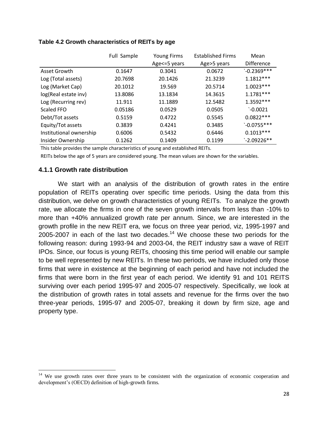|                         | Full Sample | <b>Young Firms</b> | <b>Established Firms</b> |                   |
|-------------------------|-------------|--------------------|--------------------------|-------------------|
|                         |             | Age <= 5 years     | Age>5 years              | <b>Difference</b> |
| Asset Growth            | 0.1647      | 0.3041             | 0.0672                   | $-0.2369***$      |
| Log (Total assets)      | 20.7698     | 20.1426            | 21.3239                  | $1.1812***$       |
| Log (Market Cap)        | 20.1012     | 19.569             | 20.5714                  | $1.0023***$       |
| log(Real estate inv)    | 13.8086     | 13.1834            | 14.3615                  | 1.1781***         |
| Log (Recurring rev)     | 11.911      | 11.1889            | 12.5482                  | 1.3592 ***        |
| Scaled FFO              | 0.05186     | 0.0529             | 0.0505                   | $-0.0021$         |
| Debt/Tot assets         | 0.5159      | 0.4722             | 0.5545                   | $0.0822***$       |
| Equity/Tot assets       | 0.3839      | 0.4241             | 0.3485                   | $`-0.0755***$     |
| Institutional ownership | 0.6006      | 0.5432             | 0.6446                   | $0.1013***$       |
| Insider Ownership       | 0.1262      | 0.1409             | 0.1199                   | $`-2.09226**$     |

### **Table 4.2 Growth characteristics of REITs by age**

This table provides the sample characteristics of young and established REITs.

REITs below the age of 5 years are considered young. The mean values are shown for the variables.

## **4.1.1 Growth rate distribution**

 $\overline{a}$ 

We start with an analysis of the distribution of growth rates in the entire population of REITs operating over specific time periods. Using the data from this distribution, we delve on growth characteristics of young REITs. To analyze the growth rate, we allocate the firms in one of the seven growth intervals from less than -10% to more than +40% annualized growth rate per annum. Since, we are interested in the growth profile in the new REIT era, we focus on three year period, viz, 1995-1997 and 2005-2007 in each of the last two decades.<sup>14</sup> We choose these two periods for the following reason: during 1993-94 and 2003-04, the REIT industry saw a wave of REIT IPOs. Since, our focus is young REITs, choosing this time period will enable our sample to be well represented by new REITs. In these two periods, we have included only those firms that were in existence at the beginning of each period and have not included the firms that were born in the first year of each period. We identify 91 and 101 REITS surviving over each period 1995-97 and 2005-07 respectively. Specifically, we look at the distribution of growth rates in total assets and revenue for the firms over the two three-year periods, 1995-97 and 2005-07, breaking it down by firm size, age and property type.

 $14$  We use growth rates over three years to be consistent with the organization of economic cooperation and development's (OECD) definition of high-growth firms.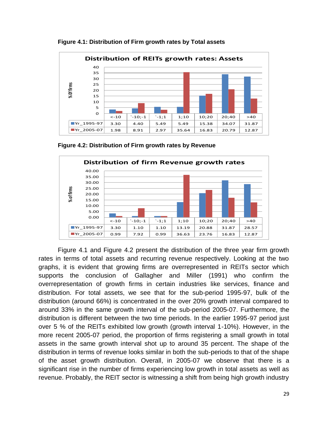

**Figure 4.1: Distribution of Firm growth rates by Total assets**

**Figure 4.2: Distribution of Firm growth rates by Revenue**



Figure 4.1 and Figure 4.2 present the distribution of the three year firm growth rates in terms of total assets and recurring revenue respectively. Looking at the two graphs, it is evident that growing firms are overrepresented in REITs sector which supports the conclusion of Gallagher and Miller (1991) who confirm the overrepresentation of growth firms in certain industries like services, finance and distribution. For total assets, we see that for the sub-period 1995-97, bulk of the distribution (around 66%) is concentrated in the over 20% growth interval compared to around 33% in the same growth interval of the sub-period 2005-07. Furthermore, the distribution is different between the two time periods. In the earlier 1995-97 period just over 5 % of the REITs exhibited low growth (growth interval 1-10%). However, in the more recent 2005-07 period, the proportion of firms registering a small growth in total assets in the same growth interval shot up to around 35 percent. The shape of the distribution in terms of revenue looks similar in both the sub-periods to that of the shape of the asset growth distribution. Overall, in 2005-07 we observe that there is a significant rise in the number of firms experiencing low growth in total assets as well as revenue. Probably, the REIT sector is witnessing a shift from being high growth industry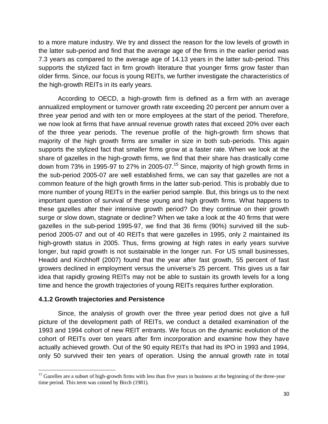to a more mature industry. We try and dissect the reason for the low levels of growth in the latter sub-period and find that the average age of the firms in the earlier period was 7.3 years as compared to the average age of 14.13 years in the latter sub-period. This supports the stylized fact in firm growth literature that younger firms grow faster than older firms. Since, our focus is young REITs, we further investigate the characteristics of the high-growth REITs in its early years.

According to OECD, a high-growth firm is defined as a firm with an average annualized employment or turnover growth rate exceeding 20 percent per annum over a three year period and with ten or more employees at the start of the period. Therefore, we now look at firms that have annual revenue growth rates that exceed 20% over each of the three year periods. The revenue profile of the high-growth firm shows that majority of the high growth firms are smaller in size in both sub-periods. This again supports the stylized fact that smaller firms grow at a faster rate. When we look at the share of gazelles in the high-growth firms, we find that their share has drastically come down from 73% in 1995-97 to 27% in 2005-07.<sup>15</sup> Since, majority of high growth firms in the sub-period 2005-07 are well established firms, we can say that gazelles are not a common feature of the high growth firms in the latter sub-period. This is probably due to more number of young REITs in the earlier period sample. But, this brings us to the next important question of survival of these young and high growth firms. What happens to these gazelles after their intensive growth period? Do they continue on their growth surge or slow down, stagnate or decline? When we take a look at the 40 firms that were gazelles in the sub-period 1995-97, we find that 36 firms (90%) survived till the subperiod 2005-07 and out of 40 REITs that were gazelles in 1995, only 2 maintained its high-growth status in 2005. Thus, firms growing at high rates in early years survive longer, but rapid growth is not sustainable in the longer run. For US small businesses, Headd and Kirchhoff (2007) found that the year after fast growth, 55 percent of fast growers declined in employment versus the universe's 25 percent. This gives us a fair idea that rapidly growing REITs may not be able to sustain its growth levels for a long time and hence the growth trajectories of young REITs requires further exploration.

## **4.1.2 Growth trajectories and Persistence**

Since, the analysis of growth over the three year period does not give a full picture of the development path of REITs, we conduct a detailed examination of the 1993 and 1994 cohort of new REIT entrants. We focus on the dynamic evolution of the cohort of REITs over ten years after firm incorporation and examine how they have actually achieved growth. Out of the 90 equity REITs that had its IPO in 1993 and 1994, only 50 survived their ten years of operation. Using the annual growth rate in total

 $\overline{a}$ <sup>15</sup> Gazelles are a subset of high-growth firms with less than five years in business at the beginning of the three-year time period. This term was coined by Birch (1981).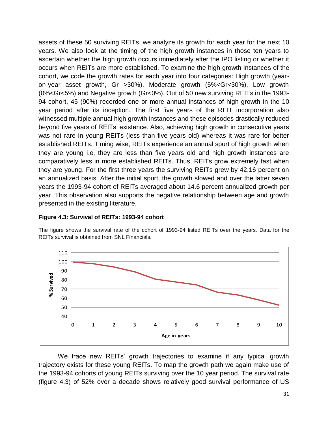assets of these 50 surviving REITs, we analyze its growth for each year for the next 10 years. We also look at the timing of the high growth instances in those ten years to ascertain whether the high growth occurs immediately after the IPO listing or whether it occurs when REITs are more established. To examine the high growth instances of the cohort, we code the growth rates for each year into four categories: High growth (yearon-year asset growth, Gr >30%), Moderate growth (5%<Gr<30%), Low growth (0%<Gr<5%) and Negative growth (Gr<0%). Out of 50 new surviving REITs in the 1993- 94 cohort, 45 (90%) recorded one or more annual instances of high-growth in the 10 year period after its inception. The first five years of the REIT incorporation also witnessed multiple annual high growth instances and these episodes drastically reduced beyond five years of REITs" existence. Also, achieving high growth in consecutive years was not rare in young REITs (less than five years old) whereas it was rare for better established REITs. Timing wise, REITs experience an annual spurt of high growth when they are young i.e, they are less than five years old and high growth instances are comparatively less in more established REITs. Thus, REITs grow extremely fast when they are young. For the first three years the surviving REITs grew by 42.16 percent on an annualized basis. After the initial spurt, the growth slowed and over the latter seven years the 1993-94 cohort of REITs averaged about 14.6 percent annualized growth per year. This observation also supports the negative relationship between age and growth presented in the existing literature.

#### **Figure 4.3: Survival of REITs: 1993-94 cohort**

The figure shows the survival rate of the cohort of 1993-94 listed REITs over the years. Data for the REITs survival is obtained from SNL Financials.



We trace new REITs' growth trajectories to examine if any typical growth trajectory exists for these young REITs. To map the growth path we again make use of the 1993-94 cohorts of young REITs surviving over the 10 year period. The survival rate (figure 4.3) of 52% over a decade shows relatively good survival performance of US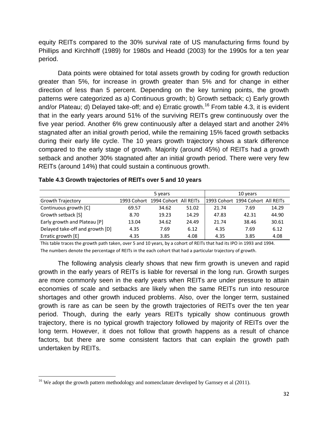equity REITs compared to the 30% survival rate of US manufacturing firms found by Phillips and Kirchhoff (1989) for 1980s and Headd (2003) for the 1990s for a ten year period.

Data points were obtained for total assets growth by coding for growth reduction greater than 5%, for increase in growth greater than 5% and for change in either direction of less than 5 percent. Depending on the key turning points, the growth patterns were categorized as a) Continuous growth; b) Growth setback; c) Early growth and/or Plateau; d) Delayed take-off; and e) Erratic growth.<sup>16</sup> From table 4.3, it is evident that in the early years around 51% of the surviving REITs grew continuously over the five year period. Another 6% grew continuously after a delayed start and another 24% stagnated after an initial growth period, while the remaining 15% faced growth setbacks during their early life cycle. The 10 years growth trajectory shows a stark difference compared to the early stage of growth. Majority (around 45%) of REITs had a growth setback and another 30% stagnated after an initial growth period. There were very few REITs (around 14%) that could sustain a continuous growth.

|                                 |             | 5 years               |       |       | 10 years                          |       |
|---------------------------------|-------------|-----------------------|-------|-------|-----------------------------------|-------|
| Growth Trajectory               | 1993 Cohort | 1994 Cohort All REITs |       |       | 1993 Cohort 1994 Cohort All REITs |       |
| Continuous growth [C]           | 69.57       | 34.62                 | 51.02 | 21.74 | 7.69                              | 14.29 |
| Growth setback [S]              | 8.70        | 19.23                 | 14.29 | 47.83 | 42.31                             | 44.90 |
| Early growth and Plateau [P]    | 13.04       | 34.62                 | 24.49 | 21.74 | 38.46                             | 30.61 |
| Delayed take-off and growth [D] | 4.35        | 7.69                  | 6.12  | 4.35  | 7.69                              | 6.12  |
| Erratic growth [E]              | 4.35        | 3.85                  | 4.08  | 4.35  | 3.85                              | 4.08  |

**Table 4.3 Growth trajectories of REITs over 5 and 10 years**

This table traces the growth path taken, over 5 and 10 years, by a cohort of REITs that had its IPO in 1993 and 1994. The numbers denote the percentage of REITs in the each cohort that had a particular trajectory of growth.

The following analysis clearly shows that new firm growth is uneven and rapid growth in the early years of REITs is liable for reversal in the long run. Growth surges are more commonly seen in the early years when REITs are under pressure to attain economies of scale and setbacks are likely when the same REITs run into resource shortages and other growth induced problems. Also, over the longer term, sustained growth is rare as can be seen by the growth trajectories of REITs over the ten year period. Though, during the early years REITs typically show continuous growth trajectory, there is no typical growth trajectory followed by majority of REITs over the long term. However, it does not follow that growth happens as a result of chance factors, but there are some consistent factors that can explain the growth path undertaken by REITs.

 $\overline{\phantom{a}}$ 

<sup>&</sup>lt;sup>16</sup> We adopt the growth pattern methodology and nomenclature developed by Garnsey et al  $(2011)$ .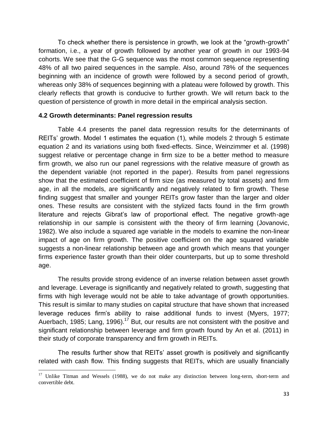To check whether there is persistence in growth, we look at the "growth-growth" formation, i.e., a year of growth followed by another year of growth in our 1993-94 cohorts. We see that the G-G sequence was the most common sequence representing 48% of all two paired sequences in the sample. Also, around 78% of the sequences beginning with an incidence of growth were followed by a second period of growth, whereas only 38% of sequences beginning with a plateau were followed by growth. This clearly reflects that growth is conducive to further growth. We will return back to the question of persistence of growth in more detail in the empirical analysis section.

## **4.2 Growth determinants: Panel regression results**

Table 4.4 presents the panel data regression results for the determinants of REITs" growth. Model 1 estimates the equation (1), while models 2 through 5 estimate equation 2 and its variations using both fixed-effects. Since, Weinzimmer et al. (1998) suggest relative or percentage change in firm size to be a better method to measure firm growth, we also run our panel regressions with the relative measure of growth as the dependent variable (not reported in the paper). Results from panel regressions show that the estimated coefficient of firm size (as measured by total assets) and firm age, in all the models, are significantly and negatively related to firm growth. These finding suggest that smaller and younger REITs grow faster than the larger and older ones. These results are consistent with the stylized facts found in the firm growth literature and rejects Gibrat"s law of proportional effect. The negative growth-age relationship in our sample is consistent with the theory of firm learning (Jovanovic, 1982). We also include a squared age variable in the models to examine the non-linear impact of age on firm growth. The positive coefficient on the age squared variable suggests a non-linear relationship between age and growth which means that younger firms experience faster growth than their older counterparts, but up to some threshold age.

The results provide strong evidence of an inverse relation between asset growth and leverage. Leverage is significantly and negatively related to growth, suggesting that firms with high leverage would not be able to take advantage of growth opportunities. This result is similar to many studies on capital structure that have shown that increased leverage reduces firm"s ability to raise additional funds to invest (Myers, 1977; Auerbach, 1985; Lang, 1996).<sup>17</sup> But, our results are not consistent with the positive and significant relationship between leverage and firm growth found by An et al. (2011) in their study of corporate transparency and firm growth in REITs.

The results further show that REITs" asset growth is positively and significantly related with cash flow. This finding suggests that REITs, which are usually financially

 $\overline{a}$ 

 $17$  Unlike Titman and Wessels (1988), we do not make any distinction between long-term, short-term and convertible debt.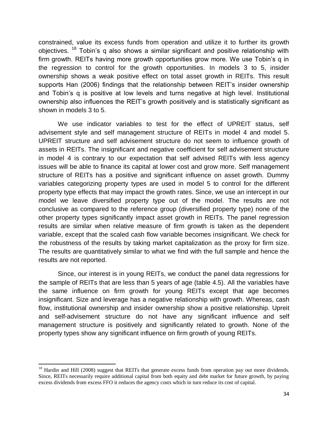constrained, value its excess funds from operation and utilize it to further its growth objectives. <sup>18</sup> Tobin's q also shows a similar significant and positive relationship with firm growth. REITs having more growth opportunities grow more. We use Tobin"s q in the regression to control for the growth opportunities. In models 3 to 5, insider ownership shows a weak positive effect on total asset growth in REITs. This result supports Han (2006) findings that the relationship between REIT"s insider ownership and Tobin"s q is positive at low levels and turns negative at high level. Institutional ownership also influences the REIT"s growth positively and is statistically significant as shown in models 3 to 5.

We use indicator variables to test for the effect of UPREIT status, self advisement style and self management structure of REITs in model 4 and model 5. UPREIT structure and self advisement structure do not seem to influence growth of assets in REITs. The insignificant and negative coefficient for self advisement structure in model 4 is contrary to our expectation that self advised REITs with less agency issues will be able to finance its capital at lower cost and grow more. Self management structure of REITs has a positive and significant influence on asset growth. Dummy variables categorizing property types are used in model 5 to control for the different property type effects that may impact the growth rates. Since, we use an intercept in our model we leave diversified property type out of the model. The results are not conclusive as compared to the reference group (diversified property type) none of the other property types significantly impact asset growth in REITs. The panel regression results are similar when relative measure of firm growth is taken as the dependent variable, except that the scaled cash flow variable becomes insignificant. We check for the robustness of the results by taking market capitalization as the proxy for firm size. The results are quantitatively similar to what we find with the full sample and hence the results are not reported.

Since, our interest is in young REITs, we conduct the panel data regressions for the sample of REITs that are less than 5 years of age (table 4.5). All the variables have the same influence on firm growth for young REITs except that age becomes insignificant. Size and leverage has a negative relationship with growth. Whereas, cash flow, institutional ownership and insider ownership show a positive relationship. Upreit and self-advisement structure do not have any significant influence and self management structure is positively and significantly related to growth. None of the property types show any significant influence on firm growth of young REITs.

 $\overline{a}$ 

<sup>&</sup>lt;sup>18</sup> Hardin and Hill (2008) suggest that REITs that generate excess funds from operation pay out more dividends. Since, REITs necessarily require additional capital from both equity and debt market for future growth, by paying excess dividends from excess FFO it reduces the agency costs which in turn reduce its cost of capital.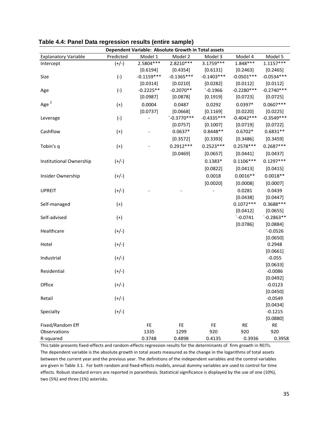|                             |           |              | Dependent Variable: Absolute Growth in Total assets |              |              |                      |
|-----------------------------|-----------|--------------|-----------------------------------------------------|--------------|--------------|----------------------|
| <b>Explanatory Variable</b> | Predicted | Model 1      | Model 2                                             | Model 3      | Model 4      | Model 5              |
| Intercept                   | $(+/-)$   | 2.5804 ***   | 2.8210***                                           | 3.1759 ***   | $1.848***$   | $1.1157***$          |
|                             |           | [0.6194]     | [0.4354]                                            | [0.6131]     | [0.2463]     | [0.2465]             |
| Size                        | $(-)$     | $-0.1159***$ | $-0.1365***$                                        | $-0.1403***$ | $-0.0501***$ | $-0.0534***$         |
|                             |           | [0.0314]     | [0.0210]                                            | [0.0282]     | [0.0112]     | [0.0112]             |
| Age                         | $(-)$     | $-0.2225**$  | $-0.2070**$                                         | $`-0.1966$   | $-0.2280***$ | $-0.2740***$         |
|                             |           | [0.0987]     | [0.0878]                                            | [0.1919]     | [0.0723]     | [0.0725]             |
| Age <sup>2</sup>            | $^{(+)}$  | 0.0004       | 0.0487                                              | 0.0292       | $0.0397*$    | $0.0607***$          |
|                             |           | [0.0737]     | [0.0668]                                            | [0.1169]     | [0.0220]     | [0.0225]             |
| Leverage                    | $(-)$     |              | $`-0.3770***$                                       | $-0.4335***$ | $-0.4042***$ | $-0.3549***$         |
|                             |           |              | [0.0757]                                            | [0.1007]     | [0.0719]     | [0.0722]             |
| Cashflow                    | $^{(+)}$  |              | $0.0637*$                                           | $0.8448**$   | $0.6702*$    | $0.6831**$           |
|                             |           |              | [0.3572]                                            | [0.3393]     | [0.3486]     | [0.3459]             |
| Tobin's q                   | $(+)$     |              | $0.2912***$                                         | $0.2523***$  | $0.2578***$  | $0.2687***$          |
|                             |           |              | [0.0469]                                            | [0.0657]     | [0.0441]     | [0.0437]             |
| Institutional Ownership     | $(+/-)$   |              |                                                     | $0.1383*$    | $0.1106***$  | $0.1297***$          |
|                             |           |              |                                                     | [0.0822]     | [0.0413]     | [0.0415]             |
| Insider Ownership           | $(+/-)$   |              |                                                     | 0.0018       | $0.0016**$   | $0.0018**$           |
|                             |           |              |                                                     |              |              |                      |
|                             |           |              |                                                     | [0.0020]     | [0.0008]     | [0.0007]             |
| <b>UPREIT</b>               | $(+/-)$   |              |                                                     |              | 0.0281       | 0.0439               |
|                             |           |              |                                                     |              | [0.0438]     | [0.0447]             |
| Self-managed                | $(+)$     |              |                                                     |              | $0.1072***$  | 0.3688***            |
|                             |           |              |                                                     |              | [0.0412]     | [0.0655]             |
| Self-advised                | $(+)$     |              |                                                     |              | $`-0.0741$   | $`-0.2863**$         |
|                             |           |              |                                                     |              | [0.0786]     | [0.0884]             |
| Healthcare                  | $(+/-)$   |              |                                                     |              |              | $`-0.0526$           |
|                             |           |              |                                                     |              |              | [0.0650]             |
| Hotel                       | $(+/-)$   |              |                                                     |              |              | 0.2948               |
| Industrial                  |           |              |                                                     |              |              | [0.0661]<br>$-0.055$ |
|                             | $(+/-)$   |              |                                                     |              |              | [0.0633]             |
| Residential                 | $(+/-)$   |              |                                                     |              |              | $-0.0086$            |
|                             |           |              |                                                     |              |              | [0.0492]             |
| Office                      | $(+/-)$   |              |                                                     |              |              | $-0.0123$            |
|                             |           |              |                                                     |              |              | [0.0450]             |
| Retail                      | $(+/-)$   |              |                                                     |              |              | $-0.0549$            |
|                             |           |              |                                                     |              |              | [0.0434]             |
| Specialty                   | $(+/-)$   |              |                                                     |              |              | $-0.1215$            |
|                             |           |              |                                                     |              |              | [0.0880]             |
| Fixed/Random Eff            |           | FE           | FE                                                  | FE           | <b>RE</b>    | <b>RE</b>            |
| Observations                |           | 1335         | 1299                                                | 920          | 920          | 920                  |
| R-squared                   |           | 0.3748       | 0.4898                                              | 0.4135       | 0.3936       | 0.3958               |

**Table 4.4: Panel Data regression results (entire sample)**

This table presents fixed-effects and random-effects regression results for the determinants of firm growth in REITs. The dependent variable is the absolute growth in total assets measured as the change in the logarithms of total assets between the current year and the previous year. The definitions of the independent variables and the control variables are given in Table 3.1. For both random and fixed-effects models, annual dummy variables are used to control for time effects. Robust standard errors are reported in paranthesis. Statistical significance is displayed by the use of one (10%), two (5%) and three (1%) asterisks.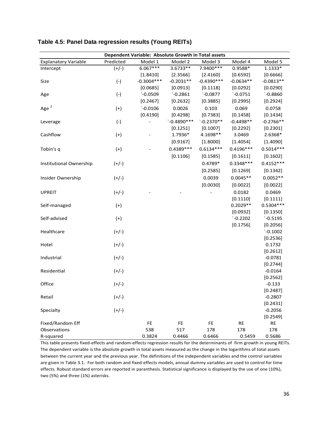|                             | Dependent Variable: Absolute Growth in Total assets |              |               |              |             |                       |  |  |
|-----------------------------|-----------------------------------------------------|--------------|---------------|--------------|-------------|-----------------------|--|--|
| <b>Explanatory Variable</b> | Predicted                                           | Model 1      | Model 2       | Model 3      | Model 4     | Model 5               |  |  |
| Intercept                   | $(+/-)$                                             | $6.067***$   | 3.6733**      | 7.9400 ***   | $0.9588*$   | $1.1333*$             |  |  |
|                             |                                                     | [1.8410]     | [2.3566]      | [2.4160]     | [0.6592]    | [0.6666]              |  |  |
| Size                        | $(-)$                                               | $-0.3004***$ | $-0.2031**$   | $-0.4390***$ | $-0.0634**$ | $-0.0813**$           |  |  |
|                             |                                                     | [0.0685]     | [0.0913]      | [0.1118]     | [0.0292]    | [0.0290]              |  |  |
| Age                         | $(-)$                                               | $`-0.0509$   | $`-0.2861$    | $`-0.0877$   | $`-0.0751$  | $`-0.8860$            |  |  |
|                             |                                                     | [0.2467]     | [0.2632]      | [0.3885]     | [0.2995]    | [0.2924]              |  |  |
| Age <sup>2</sup>            | $(+)$                                               | $`-0.0106$   | 0.0026        | 0.103        | 0.069       | 0.0758                |  |  |
|                             |                                                     | [0.4190]     | [0.4298]      | [0.7383]     | [0.1458]    | [0.1434]              |  |  |
| Leverage                    | $(-)$                                               |              | $`-0.4890***$ | $`-0.2370**$ | $-0.4498**$ | $-0.2766**$           |  |  |
|                             |                                                     |              | [0.1251]      | [0.1007]     | [0.2292]    | [0.2301]              |  |  |
| Cashflow                    | $(+)$                                               |              | 1.7936*       | 4.1698**     | 3.0469      | 2.6368*               |  |  |
|                             |                                                     |              | [0.9167]      | [1.8000]     | [1.4054]    | [1.4090]              |  |  |
| Tobin's q                   | $(+)$                                               |              | 0.4389 ***    | $0.6134***$  | $0.4196***$ | $0.5014***$           |  |  |
|                             |                                                     |              | [0.1106]      | [0.1585]     | [0.1611]    | [0.1602]              |  |  |
| Institutional Ownership     | $(+/-)$                                             |              |               | $0.4789*$    | $0.3348***$ | $0.4152***$           |  |  |
|                             |                                                     |              |               | [0.2585]     | [0.1269]    | [0.1342]              |  |  |
| Insider Ownership           | $(+/-)$                                             |              |               | 0.0039       | $0.0045**$  | $0.0052**$            |  |  |
|                             |                                                     |              |               | [0.0030]     | [0.0022]    | [0.0022]              |  |  |
| <b>UPREIT</b>               | $(+/-)$                                             |              |               |              | 0.0182      | 0.0469                |  |  |
|                             |                                                     |              |               |              | [0.1110]    | [0.1111]              |  |  |
| Self-managed                | $(+)$                                               |              |               |              | $0.2029**$  | $0.5304***$           |  |  |
|                             |                                                     |              |               |              | [0.0932]    | [0.1350]              |  |  |
| Self-advised                | $(+)$                                               |              |               |              | $`-0.2202$  | $`-0.5195$            |  |  |
|                             |                                                     |              |               |              | [0.1756]    | [0.2056]              |  |  |
| Healthcare                  | $(+/-)$                                             |              |               |              |             | $`-0.1002$            |  |  |
|                             |                                                     |              |               |              |             | [0.2536]              |  |  |
| Hotel                       | $(+/-)$                                             |              |               |              |             | 0.1732                |  |  |
|                             |                                                     |              |               |              |             | [0.2612]              |  |  |
| Industrial                  | $(+/-)$                                             |              |               |              |             | $-0.0781$             |  |  |
|                             |                                                     |              |               |              |             | [0.2744]              |  |  |
| Residential                 | $(+/-)$                                             |              |               |              |             | $-0.0164$             |  |  |
|                             |                                                     |              |               |              |             | [0.2562]              |  |  |
| Office                      | $(+/-)$                                             |              |               |              |             | $-0.133$              |  |  |
|                             |                                                     |              |               |              |             | [0.2487]              |  |  |
| Retail                      | $(+/-)$                                             |              |               |              |             | $-0.2807$             |  |  |
| Specialty                   |                                                     |              |               |              |             | [0.2431]<br>$-0.2056$ |  |  |
|                             | $(+/-)$                                             |              |               |              |             | [0.2549]              |  |  |
| Fixed/Random Eff            |                                                     | FE           | FE            | FE           | <b>RE</b>   | <b>RE</b>             |  |  |
| Observations                |                                                     | 538          | 517           | 178          | 178         | 178                   |  |  |
| R-squared                   |                                                     | 0.3824       | 0.4466        | 0.6466       | 0.5459      | 0.5686                |  |  |

#### **Table 4.5: Panel Data regression results (Young REITs)**

This table presents fixed-effects and random-effects regression results for the determinants of firm growth in young REITs. The dependent variable is the absolute growth in total assets measured as the change in the logarithms of total assets between the current year and the previous year. The definitions of the independent variables and the control variables are given in Table 3.1. For both random and fixed-effects models, annual dummy variables are used to control for time effects. Robust standard errors are reported in paranthesis. Statistical significance is displayed by the use of one (10%), two (5%) and three (1%) asterisks.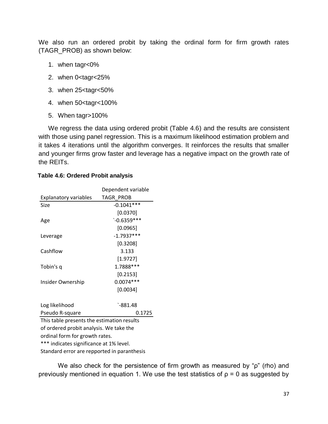We also run an ordered probit by taking the ordinal form for firm growth rates (TAGR\_PROB) as shown below:

- 1. when tagr<0%
- 2. when 0<tagr<25%
- 3. when 25<tagr<50%
- 4. when 50<tagr<100%
- 5. When tagr>100%

We regress the data using ordered probit (Table 4.6) and the results are consistent with those using panel regression. This is a maximum likelihood estimation problem and it takes 4 iterations until the algorithm converges. It reinforces the results that smaller and younger firms grow faster and leverage has a negative impact on the growth rate of the REITs.

|                                            | Dependent variable |  |  |  |  |
|--------------------------------------------|--------------------|--|--|--|--|
| <b>Explanatory variables</b>               | TAGR PROB          |  |  |  |  |
| Size                                       | $-0.1041***$       |  |  |  |  |
|                                            | [0.0370]           |  |  |  |  |
| Age                                        | $`-0.6359***$      |  |  |  |  |
|                                            | [0.0965]           |  |  |  |  |
| Leverage                                   | $-1.7937***$       |  |  |  |  |
|                                            | [0.3208]           |  |  |  |  |
| Cashflow                                   | 3.133              |  |  |  |  |
|                                            | [1.9727]           |  |  |  |  |
| Tobin's q                                  | 1.7888 ***         |  |  |  |  |
|                                            | [0.2153]           |  |  |  |  |
| Insider Ownership                          | $0.0074***$        |  |  |  |  |
|                                            | [0.0034]           |  |  |  |  |
|                                            |                    |  |  |  |  |
| Log likelihood                             | `-881.48           |  |  |  |  |
| Pseudo R-square                            | 0.1725             |  |  |  |  |
| This table presents the estimation results |                    |  |  |  |  |
| of ordered probit analysis. We take the    |                    |  |  |  |  |
| ordinal form for growth rates.             |                    |  |  |  |  |
| *** indicates significance at 1% level.    |                    |  |  |  |  |

#### **Table 4.6: Ordered Probit analysis**

Standard error are repported in paranthesis

We also check for the persistence of firm growth as measured by "ρ" (rho) and previously mentioned in equation 1. We use the test statistics of  $p = 0$  as suggested by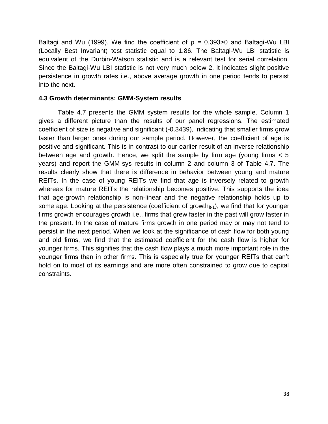Baltagi and Wu (1999). We find the coefficient of  $\rho = 0.393 > 0$  and Baltagi-Wu LBI (Locally Best Invariant) test statistic equal to 1.86. The Baltagi-Wu LBI statistic is equivalent of the Durbin-Watson statistic and is a relevant test for serial correlation. Since the Baltagi-Wu LBI statistic is not very much below 2, it indicates slight positive persistence in growth rates i.e., above average growth in one period tends to persist into the next.

# **4.3 Growth determinants: GMM-System results**

Table 4.7 presents the GMM system results for the whole sample. Column 1 gives a different picture than the results of our panel regressions. The estimated coefficient of size is negative and significant (-0.3439), indicating that smaller firms grow faster than larger ones during our sample period. However, the coefficient of age is positive and significant. This is in contrast to our earlier result of an inverse relationship between age and growth. Hence, we split the sample by firm age (young firms < 5 years) and report the GMM-sys results in column 2 and column 3 of Table 4.7. The results clearly show that there is difference in behavior between young and mature REITs. In the case of young REITs we find that age is inversely related to growth whereas for mature REITs the relationship becomes positive. This supports the idea that age-growth relationship is non-linear and the negative relationship holds up to some age. Looking at the persistence (coefficient of growth $_{it-1}$ ), we find that for younger firms growth encourages growth i.e., firms that grew faster in the past will grow faster in the present. In the case of mature firms growth in one period may or may not tend to persist in the next period. When we look at the significance of cash flow for both young and old firms, we find that the estimated coefficient for the cash flow is higher for younger firms. This signifies that the cash flow plays a much more important role in the younger firms than in other firms. This is especially true for younger REITs that can"t hold on to most of its earnings and are more often constrained to grow due to capital constraints.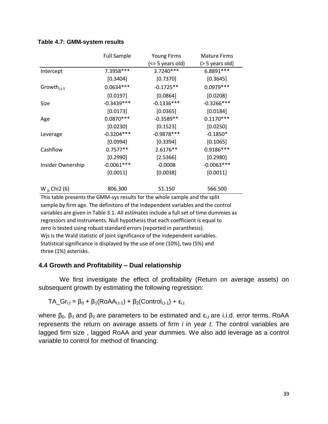#### **Table 4.7: GMM-system results**

|                    | <b>Full Sample</b><br><b>Young Firms</b> |                  | <b>Mature Firms</b> |
|--------------------|------------------------------------------|------------------|---------------------|
|                    |                                          | (<= 5 years old) | (> 5 years old)     |
| Intercept          | 7.3958 ***                               | 3.7240***        | 6.8891 ***          |
|                    | [0.3404]                                 | [0.7370]         | [0.3645]            |
| Growth $_{i.t-1}$  | $0.0634***$                              | $-0.1725**$      | $0.0979***$         |
|                    | [0.0197]                                 | [0.0864]         | [0.0208]            |
| Size               | $-0.3439***$                             | $-0.1336***$     | $-0.3266***$        |
|                    | [0.0173]                                 | [0.0365]         | [0.0184]            |
| Age                | $0.0870***$                              | $-0.3589**$      | $0.1170***$         |
|                    | [0.0230]                                 | [0.1523]         | [0.0250]            |
| Leverage           | $-0.3204***$                             | $-0.9878***$     | $-0.1850*$          |
|                    | [0.0994]                                 | [0.3394]         | [0.1065]            |
| Cashflow           | $0.7577**$                               | 2.6176**         | 0.9186***           |
|                    | [0.2990]                                 | [2.5366]         | [0.2980]            |
| Insider Ownership  | $-0.0061***$                             | $-0.0008$        | $-0.0063***$        |
|                    | [0.0011]                                 | [0.0038]         | [0.0011]            |
| W $_{is}$ Chi2 (6) | 806.300                                  | 51.150           | 566.500             |

This table presents the GMM-sys results for the whole sample and the split sample by firm age. The definitons of the independent variables and the control variables are given in Table 3.1. All estimates include a full set of time dummies as regressors and instruments. Null hypothesis that each coefficient is equal to zero is tested using robust standard errors (reported in paranthesis). Wjs is the Wald statistic of joint significance of the independent variables. Statistical significance is displayed by the use of one (10%), two (5%) and three (1%) asterisks.

## **4.4 Growth and Profitability – Dual relationship**

We first investigate the effect of profitability (Return on average assets) on subsequent growth by estimating the following regression:

TA\_Gr<sub>i,t</sub> =  $\beta_0$  +  $\beta_1$ (RoAA<sub>i,t-1</sub>) +  $\beta_2$ (Control<sub>i,t-1</sub>) +  $\varepsilon_{i,t}$ 

where  $\beta_0$ ,  $\beta_1$  and  $\beta_2$  are parameters to be estimated and  $\epsilon_{i,t}$  are i.i.d. error terms. RoAA represents the return on average assets of firm *i* in year *t*. The control variables are lagged firm size , lagged RoAA and year dummies. We also add leverage as a control variable to control for method of financing.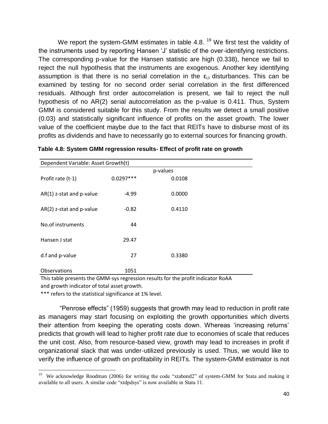We report the system-GMM estimates in table 4.8. <sup>19</sup> We first test the validity of the instruments used by reporting Hansen 'J' statistic of the over-identifying restrictions. The corresponding p-value for the Hansen statistic are high (0.338), hence we fail to reject the null hypothesis that the instruments are exogenous. Another key identifying assumption is that there is no serial correlation in the  $\varepsilon_{i,t}$  disturbances. This can be examined by testing for no second order serial correlation in the first differenced residuals. Although first order autocorrelation is present, we fail to reject the null hypothesis of no AR(2) serial autocorrelation as the p-value is 0.411. Thus, System GMM is considered suitable for this study. From the results we detect a small positive (0.03) and statistically significant influence of profits on the asset growth. The lower value of the coefficient maybe due to the fact that REITs have to disburse most of its profits as dividends and have to necessarily go to external sources for financing growth.

|                            | Dependent Variable: Asset Growth(t) |        |  |  |  |  |  |  |
|----------------------------|-------------------------------------|--------|--|--|--|--|--|--|
| p-values                   |                                     |        |  |  |  |  |  |  |
| Profit rate (t-1)          | $0.0297***$                         | 0.0108 |  |  |  |  |  |  |
|                            |                                     |        |  |  |  |  |  |  |
| AR(1) z-stat and p-value   | $-4.99$                             | 0.0000 |  |  |  |  |  |  |
|                            |                                     |        |  |  |  |  |  |  |
| $AR(2)$ z-stat and p-value | $-0.82$                             | 0.4110 |  |  |  |  |  |  |
|                            |                                     |        |  |  |  |  |  |  |
| No.of instruments          | 44                                  |        |  |  |  |  |  |  |
|                            |                                     |        |  |  |  |  |  |  |
| Hansen J stat              | 29.47                               |        |  |  |  |  |  |  |
|                            |                                     |        |  |  |  |  |  |  |
| d.f and p-value            | 27                                  | 0.3380 |  |  |  |  |  |  |
| Observations               | 1051                                |        |  |  |  |  |  |  |
|                            |                                     |        |  |  |  |  |  |  |

|  |  |  |  | Table 4.8: System GMM regression results- Effect of profit rate on growth |
|--|--|--|--|---------------------------------------------------------------------------|
|--|--|--|--|---------------------------------------------------------------------------|

This table presents the GMM-sys regression results for the profit indicator RoAA and growth indicator of total asset growth.

\*\*\* refers to the statistical significance at 1% level.

"Penrose effects" (1959) suggests that growth may lead to reduction in profit rate as managers may start focusing on exploiting the growth opportunities which diverts their attention from keeping the operating costs down. Whereas "increasing returns" predicts that growth will lead to higher profit rate due to economies of scale that reduces the unit cost. Also, from resource-based view, growth may lead to increases in profit if organizational slack that was under-utilized previously is used. Thus, we would like to verify the influence of growth on profitability in REITs. The system-GMM estimator is not

 19 We acknowledge Roodman (2006) for writing the code "xtabond2" of system-GMM for Stata and making it available to all users. A similar code "xtdpdsys" is now available in Stata 11.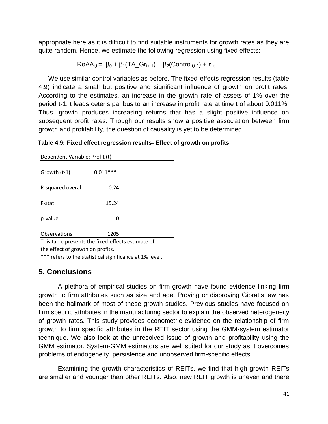appropriate here as it is difficult to find suitable instruments for growth rates as they are quite random. Hence, we estimate the following regression using fixed effects:

$$
RoAA_{i,t} = \beta_0 + \beta_1(TA\_Gr_{i,t-1}) + \beta_2(Control_{i,t-1}) + \epsilon_{i,t}
$$

We use similar control variables as before. The fixed-effects regression results (table 4.9) indicate a small but positive and significant influence of growth on profit rates. According to the estimates, an increase in the growth rate of assets of 1% over the period t-1: t leads ceteris paribus to an increase in profit rate at time t of about 0.011%. Thus, growth produces increasing returns that has a slight positive influence on subsequent profit rates. Though our results show a positive association between firm growth and profitability, the question of causality is yet to be determined.

**Table 4.9: Fixed effect regression results- Effect of growth on profits**

| Dependent Variable: Profit (t) |                                                   |  |  |  |
|--------------------------------|---------------------------------------------------|--|--|--|
| Growth (t-1)                   | $0.011***$                                        |  |  |  |
| R-squared overall              | 0.24                                              |  |  |  |
| F-stat                         | 15.24                                             |  |  |  |
| p-value                        | 0                                                 |  |  |  |
| Observations                   | 1205                                              |  |  |  |
|                                | This table presents the fixed-effects estimate of |  |  |  |

the effect of growth on profits.

\*\*\* refers to the statistical significance at 1% level.

# **5. Conclusions**

A plethora of empirical studies on firm growth have found evidence linking firm growth to firm attributes such as size and age. Proving or disproving Gibrat's law has been the hallmark of most of these growth studies. Previous studies have focused on firm specific attributes in the manufacturing sector to explain the observed heterogeneity of growth rates. This study provides econometric evidence on the relationship of firm growth to firm specific attributes in the REIT sector using the GMM-system estimator technique. We also look at the unresolved issue of growth and profitability using the GMM estimator. System-GMM estimators are well suited for our study as it overcomes problems of endogeneity, persistence and unobserved firm-specific effects.

Examining the growth characteristics of REITs, we find that high-growth REITs are smaller and younger than other REITs. Also, new REIT growth is uneven and there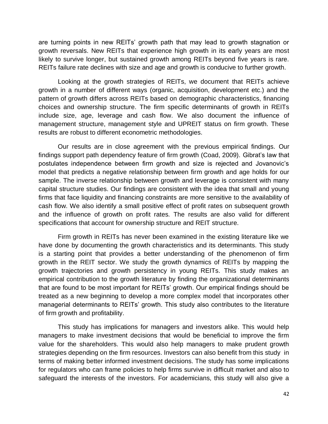are turning points in new REITs" growth path that may lead to growth stagnation or growth reversals. New REITs that experience high growth in its early years are most likely to survive longer, but sustained growth among REITs beyond five years is rare. REITs failure rate declines with size and age and growth is conducive to further growth.

Looking at the growth strategies of REITs, we document that REITs achieve growth in a number of different ways (organic, acquisition, development etc.) and the pattern of growth differs across REITs based on demographic characteristics, financing choices and ownership structure. The firm specific determinants of growth in REITs include size, age, leverage and cash flow. We also document the influence of management structure, management style and UPREIT status on firm growth. These results are robust to different econometric methodologies.

Our results are in close agreement with the previous empirical findings. Our findings support path dependency feature of firm growth (Coad, 2009). Gibrat's law that postulates independence between firm growth and size is rejected and Jovanovic"s model that predicts a negative relationship between firm growth and age holds for our sample. The inverse relationship between growth and leverage is consistent with many capital structure studies. Our findings are consistent with the idea that small and young firms that face liquidity and financing constraints are more sensitive to the availability of cash flow. We also identify a small positive effect of profit rates on subsequent growth and the influence of growth on profit rates. The results are also valid for different specifications that account for ownership structure and REIT structure.

Firm growth in REITs has never been examined in the existing literature like we have done by documenting the growth characteristics and its determinants. This study is a starting point that provides a better understanding of the phenomenon of firm growth in the REIT sector. We study the growth dynamics of REITs by mapping the growth trajectories and growth persistency in young REITs. This study makes an empirical contribution to the growth literature by finding the organizational determinants that are found to be most important for REITs" growth. Our empirical findings should be treated as a new beginning to develop a more complex model that incorporates other managerial determinants to REITs' growth. This study also contributes to the literature of firm growth and profitability.

This study has implications for managers and investors alike. This would help managers to make investment decisions that would be beneficial to improve the firm value for the shareholders. This would also help managers to make prudent growth strategies depending on the firm resources. Investors can also benefit from this study in terms of making better informed investment decisions. The study has some implications for regulators who can frame policies to help firms survive in difficult market and also to safeguard the interests of the investors. For academicians, this study will also give a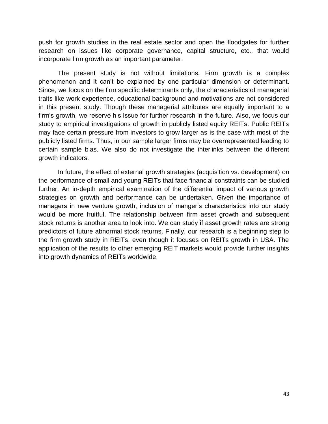push for growth studies in the real estate sector and open the floodgates for further research on issues like corporate governance, capital structure, etc., that would incorporate firm growth as an important parameter.

The present study is not without limitations. Firm growth is a complex phenomenon and it can"t be explained by one particular dimension or determinant. Since, we focus on the firm specific determinants only, the characteristics of managerial traits like work experience, educational background and motivations are not considered in this present study. Though these managerial attributes are equally important to a firm"s growth, we reserve his issue for further research in the future. Also, we focus our study to empirical investigations of growth in publicly listed equity REITs. Public REITs may face certain pressure from investors to grow larger as is the case with most of the publicly listed firms. Thus, in our sample larger firms may be overrepresented leading to certain sample bias. We also do not investigate the interlinks between the different growth indicators.

In future, the effect of external growth strategies (acquisition vs. development) on the performance of small and young REITs that face financial constraints can be studied further. An in-depth empirical examination of the differential impact of various growth strategies on growth and performance can be undertaken. Given the importance of managers in new venture growth, inclusion of manger's characteristics into our study would be more fruitful. The relationship between firm asset growth and subsequent stock returns is another area to look into. We can study if asset growth rates are strong predictors of future abnormal stock returns. Finally, our research is a beginning step to the firm growth study in REITs, even though it focuses on REITs growth in USA. The application of the results to other emerging REIT markets would provide further insights into growth dynamics of REITs worldwide.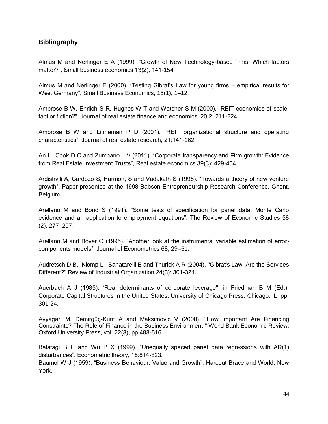# **Bibliography**

Almus M and Nerlinger E A (1999). "Growth of New Technology-based firms: Which factors matter?", Small business economics 13(2), 141-154

Almus M and Nerlinger E (2000). "Testing Gibrat"s Law for young firms – empirical results for West Germany", Small Business Economics, 15(1), 1–12.

Ambrose B W, Ehrlich S R, Hughes W T and Watcher S M (2000). "REIT economies of scale: fact or fiction?", Journal of real estate finance and economics, 20:2, 211-224

Ambrose B W and Linneman P D (2001). "REIT organizational structure and operating characteristics", Journal of real estate research, 21:141-162.

An H, Cook D O and Zumpano L V (2011). "Corporate transparency and Firm growth: Evidence from Real Estate Investment Trusts", Real estate economics 39(3): 429-454.

Ardishvili A, Cardozo S, Harmon, S and Vadakath S (1998). "Towards a theory of new venture growth", Paper presented at the 1998 Babson Entrepreneurship Research Conference, Ghent, Belgium.

Arellano M and Bond S (1991). "Some tests of specification for panel data: Monte Carlo evidence and an application to employment equations". The Review of Economic Studies 58 (2), 277–297.

Arellano M and Bover O (1995). "Another look at the instrumental variable estimation of errorcomponents models". Journal of Econometrics 68, 29–51.

Audretsch D B, Klomp L, Sanatarelli E and Thurick A R (2004). "Gibrat's Law: Are the Services Different?" Review of Industrial Organization 24(3): 301-324.

Auerbach A J (1985). "Real determinants of corporate leverage'', in Friedman B M (Ed.), Corporate Capital Structures in the United States, University of Chicago Press, Chicago, IL, pp: 301-24.

Ayyagari M, Demirgüç-Kunt A and Maksimovic V (2008). "How Important Are Financing Constraints? The Role of Finance in the Business Environment," World Bank Economic Review, Oxford University Press, vol. 22(3), pp 483-516.

Balatagi B H and Wu P X (1999). "Unequally spaced panel data regressions with AR(1) disturbances", Econometric theory, 15:814-823.

Baumol W J (1959). "Business Behaviour, Value and Growth", Harcout Brace and World, New York.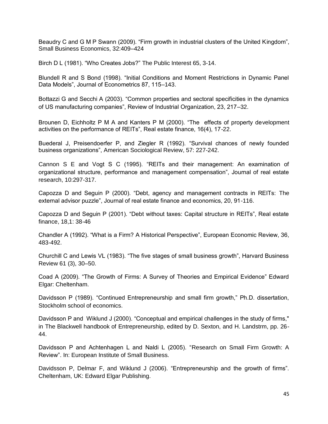Beaudry C and G M P Swann (2009). "Firm growth in industrial clusters of the United Kingdom", Small Business Economics, 32:409–424

Birch D L (1981). "Who Creates Jobs?" The Public Interest 65, 3-14.

Blundell R and S Bond (1998). "Initial Conditions and Moment Restrictions in Dynamic Panel Data Models", Journal of Econometrics 87, 115–143.

Bottazzi G and Secchi A (2003). "Common properties and sectoral specificities in the dynamics of US manufacturing companies", Review of Industrial Organization, 23, 217–32.

Brounen D, Eichholtz P M A and Kanters P M (2000). "The effects of property development activities on the performance of REITs", Real estate finance, 16(4), 17-22.

Buederal J, Preisendoerfer P, and Ziegler R (1992). "Survival chances of newly founded business organizations", American Sociological Review, 57: 227-242.

Cannon S E and Vogt S C (1995). "REITs and their management: An examination of organizational structure, performance and management compensation", Journal of real estate research, 10:297-317.

Capozza D and Seguin P (2000). "Debt, agency and management contracts in REITs: The external advisor puzzle", Journal of real estate finance and economics, 20, 91-116.

Capozza D and Seguin P (2001). "Debt without taxes: Capital structure in REITs", Real estate finance, 18,1: 38-46

Chandler A (1992). "What is a Firm? A Historical Perspective", European Economic Review, 36, 483-492.

Churchill C and Lewis VL (1983). "The five stages of small business growth", Harvard Business Review 61 (3), 30–50.

Coad A (2009). "The Growth of Firms: A Survey of Theories and Empirical Evidence" Edward Elgar: Cheltenham.

Davidsson P (1989). "Continued Entrepreneurship and small firm growth," Ph.D. dissertation, Stockholm school of economics.

Davidsson P and Wiklund J (2000). "Conceptual and empirical challenges in the study of firms," in The Blackwell handbook of Entrepreneurship, edited by D. Sexton, and H. Landstrm, pp. 26- 44.

Davidsson P and Achtenhagen L and Naldi L (2005). "Research on Small Firm Growth: A Review". In: European Institute of Small Business.

Davidsson P, Delmar F, and Wiklund J (2006). "Entrepreneurship and the growth of firms". Cheltenham, UK: Edward Elgar Publishing.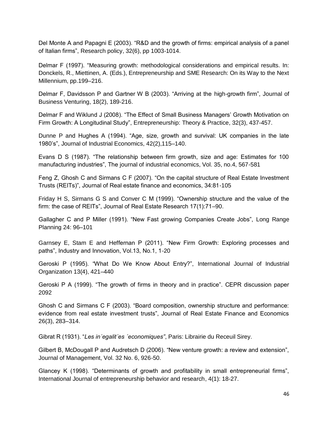Del Monte A and Papagni E (2003). "R&D and the growth of firms: empirical analysis of a panel of Italian firms", Research policy, 32(6), pp 1003-1014.

Delmar F (1997). "Measuring growth: methodological considerations and empirical results. In: Donckels, R., Miettinen, A. (Eds.), Entrepreneurship and SME Research: On its Way to the Next Millennium, pp.199–216.

Delmar F, Davidsson P and Gartner W B (2003). "Arriving at the high-growth firm", Journal of Business Venturing, 18(2), 189-216.

Delmar F and Wiklund J (2008). "The Effect of Small Business Managers" Growth Motivation on Firm Growth: A Longitudinal Study", Entrepreneurship: Theory & Practice, 32(3), 437-457.

Dunne P and Hughes A (1994). "Age, size, growth and survival: UK companies in the late 1980"s", Journal of Industrial Economics, 42(2),115–140.

Evans D S (1987). "The relationship between firm growth, size and age: Estimates for 100 manufacturing industries", The journal of industrial economics, Vol. 35, no.4, 567-581

Feng Z, Ghosh C and Sirmans C F (2007). "On the capital structure of Real Estate Investment Trusts (REITs)", Journal of Real estate finance and economics, 34:81-105

Friday H S, Sirmans G S and Conver C M (1999). "Ownership structure and the value of the firm: the case of REITs", Journal of Real Estate Research 17(1):71–90.

Gallagher C and P Miller (1991). "New Fast growing Companies Create Jobs", Long Range Planning 24: 96–101

Garnsey E, Stam E and Heffernan P (2011). "New Firm Growth: Exploring processes and paths", Industry and Innovation, Vol.13, No.1, 1-20

Geroski P (1995). "What Do We Know About Entry?", International Journal of Industrial Organization 13(4), 421–440

Geroski P A (1999). "The growth of firms in theory and in practice". CEPR discussion paper 2092

Ghosh C and Sirmans C F (2003). "Board composition, ownership structure and performance: evidence from real estate investment trusts", Journal of Real Estate Finance and Economics 26(3), 283–314.

Gibrat R (1931). "*Les in´egalit´es ´economiques"*, Paris: Librairie du Receuil Sirey.

Gilbert B, McDougall P and Audretsch D (2006). "New venture growth: a review and extension", Journal of Management, Vol. 32 No. 6, 926-50.

Glancey K (1998). "Determinants of growth and profitability in small entrepreneurial firms", International Journal of entrepreneurship behavior and research, 4(1): 18-27.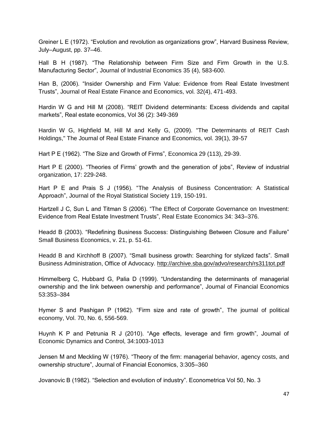Greiner L E (1972). "Evolution and revolution as organizations grow", Harvard Business Review, July–August, pp. 37–46.

Hall B H (1987). "The Relationship between Firm Size and Firm Growth in the U.S. Manufacturing Sector", Journal of Industrial Economics 35 (4), 583-600.

Han B, (2006). "Insider Ownership and Firm Value: Evidence from Real Estate Investment Trusts", Journal of Real Estate Finance and Economics, vol. 32(4), 471-493.

Hardin W G and Hill M (2008). "REIT Dividend determinants: Excess dividends and capital markets", Real estate economics, Vol 36 (2): 349-369

Hardin W G, Highfield M, Hill M and Kelly G, (2009). "The Determinants of REIT Cash Holdings," The Journal of Real Estate Finance and Economics, vol. 39(1), 39-57

Hart P E (1962). "The Size and Growth of Firms", Economica 29 (113), 29-39.

Hart P E (2000). "Theories of Firms' growth and the generation of jobs", Review of industrial organization, 17: 229-248.

Hart P E and Prais S J (1956). "The Analysis of Business Concentration: A Statistical Approach", Journal of the Royal Statistical Society 119, 150-191.

Hartzell J C, Sun L and Titman S (2006). "The Effect of Corporate Governance on Investment: Evidence from Real Estate Investment Trusts", Real Estate Economics 34: 343–376.

Headd B (2003). "Redefining Business Success: Distinguishing Between Closure and Failure" Small Business Economics, v. 21, p. 51-61.

Headd B and Kirchhoff B (2007). "Small business growth: Searching for stylized facts". Small Business Administration, Office of Advocacy.<http://archive.sba.gov/advo/research/rs311tot.pdf>

Himmelberg C, Hubbard G, Palia D (1999). "Understanding the determinants of managerial ownership and the link between ownership and performance", Journal of Financial Economics 53:353–384

Hymer S and Pashigan P (1962). "Firm size and rate of growth", The journal of political economy, Vol. 70, No. 6, 556-569.

Huynh K P and Petrunia R J (2010). "Age effects, leverage and firm growth", Journal of Economic Dynamics and Control, 34:1003-1013

Jensen M and Meckling W (1976). "Theory of the firm: managerial behavior, agency costs, and ownership structure", Journal of Financial Economics, 3:305–360

Jovanovic B (1982). "Selection and evolution of industry". Econometrica Vol 50, No. 3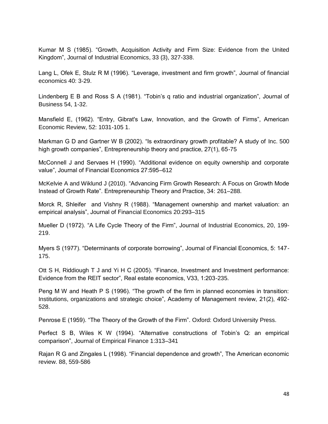Kumar M S (1985). "Growth, Acquisition Activity and Firm Size: Evidence from the United Kingdom", Journal of Industrial Economics, 33 (3), 327-338.

Lang L, Ofek E, Stulz R M (1996). "Leverage, investment and firm growth", Journal of financial economics 40: 3-29.

Lindenberg E B and Ross S A (1981). "Tobin"s q ratio and industrial organization", Journal of Business 54, 1-32.

Mansfield E, (1962). "Entry, Gibrat's Law, Innovation, and the Growth of Firms", American Economic Review, 52: 1031-105 1.

Markman G D and Gartner W B (2002). "Is extraordinary growth profitable? A study of Inc. 500 high growth companies", Entrepreneurship theory and practice, 27(1), 65-75

McConnell J and Servaes H (1990). "Additional evidence on equity ownership and corporate value", Journal of Financial Economics 27:595–612

McKelvie A and Wiklund J (2010). "Advancing Firm Growth Research: A Focus on Growth Mode Instead of Growth Rate". Entrepreneurship Theory and Practice, 34: 261–288.

Morck R, Shleifer and Vishny R (1988). "Management ownership and market valuation: an empirical analysis", Journal of Financial Economics 20:293–315

Mueller D (1972). "A Life Cycle Theory of the Firm", Journal of Industrial Economics, 20, 199- 219.

Myers S (1977). "Determinants of corporate borrowing", Journal of Financial Economics, 5: 147- 175.

Ott S H, Riddiough T J and Yi H C (2005). "Finance, Investment and Investment performance: Evidence from the REIT sector", Real estate economics, V33, 1:203-235.

Peng M W and Heath P S (1996). "The growth of the firm in planned economies in transition: Institutions, organizations and strategic choice", Academy of Management review, 21(2), 492- 528.

Penrose E (1959). "The Theory of the Growth of the Firm". Oxford: Oxford University Press.

Perfect S B, Wiles K W (1994). "Alternative constructions of Tobin"s Q: an empirical comparison", Journal of Empirical Finance 1:313–341

Rajan R G and Zingales L (1998). "Financial dependence and growth", The American economic review. 88, 559-586